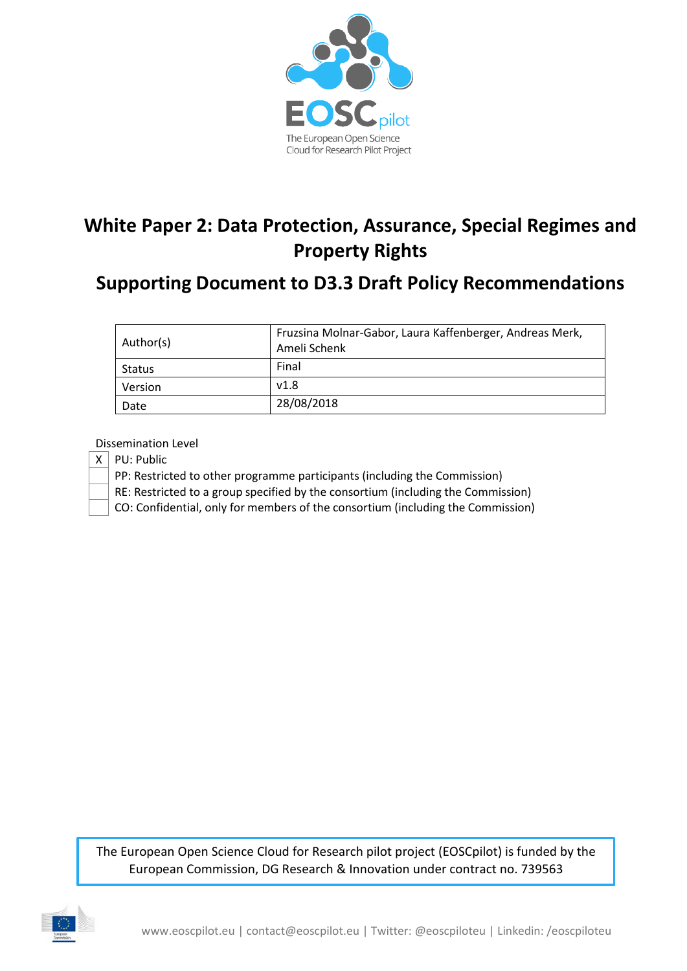

# **White Paper 2: Data Protection, Assurance, Special Regimes and Property Rights**

# **Supporting Document to D3.3 Draft Policy Recommendations**

| Author(s) | Fruzsina Molnar-Gabor, Laura Kaffenberger, Andreas Merk,<br>Ameli Schenk |
|-----------|--------------------------------------------------------------------------|
| Status    | Final                                                                    |
| Version   | v1.8                                                                     |
| Date      | 28/08/2018                                                               |

Dissemination Level

- $X \mid PU$ : Public
	- PP: Restricted to other programme participants (including the Commission)

RE: Restricted to a group specified by the consortium (including the Commission)

CO: Confidential, only for members of the consortium (including the Commission)

The European Open Science Cloud for Research pilot project (EOSCpilot) is funded by the European Commission, DG Research & Innovation under contract no. 739563

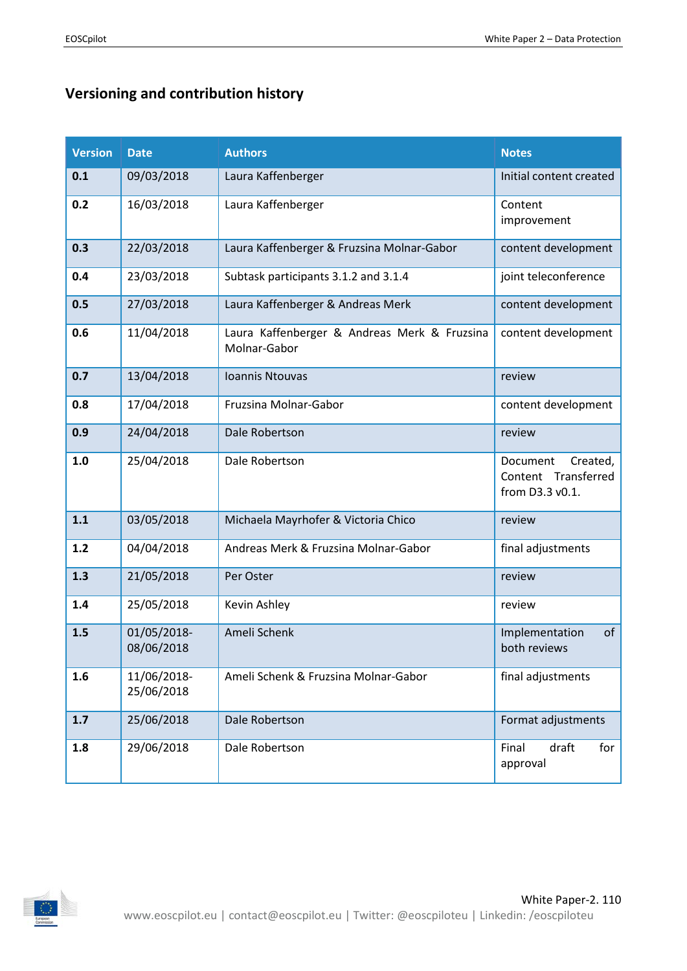# **Versioning and contribution history**

| <b>Version</b> | <b>Date</b>                  | <b>Authors</b>                                               | <b>Notes</b>                                                   |  |
|----------------|------------------------------|--------------------------------------------------------------|----------------------------------------------------------------|--|
| 0.1            | 09/03/2018                   | Laura Kaffenberger                                           | Initial content created                                        |  |
| 0.2            | 16/03/2018                   | Laura Kaffenberger                                           | Content<br>improvement                                         |  |
| 0.3            | 22/03/2018                   | Laura Kaffenberger & Fruzsina Molnar-Gabor                   | content development                                            |  |
| 0.4            | 23/03/2018                   | Subtask participants 3.1.2 and 3.1.4                         | joint teleconference                                           |  |
| 0.5            | 27/03/2018                   | Laura Kaffenberger & Andreas Merk                            | content development                                            |  |
| 0.6            | 11/04/2018                   | Laura Kaffenberger & Andreas Merk & Fruzsina<br>Molnar-Gabor | content development                                            |  |
| 0.7            | 13/04/2018                   | Ioannis Ntouvas                                              | review                                                         |  |
| 0.8            | 17/04/2018                   | Fruzsina Molnar-Gabor                                        | content development                                            |  |
| 0.9            | 24/04/2018                   | Dale Robertson                                               | review                                                         |  |
| 1.0            | 25/04/2018                   | Dale Robertson                                               | Created,<br>Document<br>Content Transferred<br>from D3.3 v0.1. |  |
| 1.1            | 03/05/2018                   | Michaela Mayrhofer & Victoria Chico                          | review                                                         |  |
| 1.2            | 04/04/2018                   | Andreas Merk & Fruzsina Molnar-Gabor                         | final adjustments                                              |  |
| 1.3            | 21/05/2018                   | Per Oster                                                    | review                                                         |  |
| 1.4            | 25/05/2018                   | Kevin Ashley                                                 | review                                                         |  |
| 1.5            | 01/05/2018-<br>08/06/2018    | Ameli Schenk                                                 |                                                                |  |
| 1.6            | 11/06/2018-<br>25/06/2018    | Ameli Schenk & Fruzsina Molnar-Gabor                         | final adjustments                                              |  |
| 1.7            | 25/06/2018                   | Dale Robertson                                               | Format adjustments                                             |  |
| 1.8            | 29/06/2018<br>Dale Robertson |                                                              | draft<br>Final<br>for<br>approval                              |  |

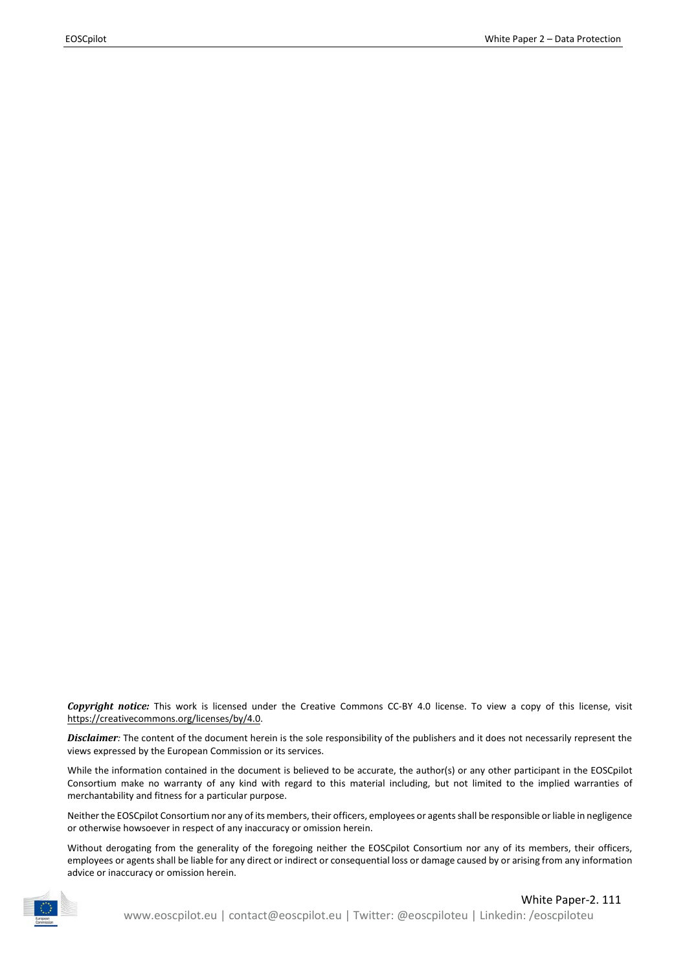*Copyright notice:* This work is licensed under the Creative Commons CC-BY 4.0 license. To view a copy of this license, visit [https://creativecommons.org/licenses/by/4.0.](https://creativecommons.org/licenses/by/4.0)

*Disclaimer:* The content of the document herein is the sole responsibility of the publishers and it does not necessarily represent the views expressed by the European Commission or its services.

While the information contained in the document is believed to be accurate, the author(s) or any other participant in the EOSCpilot Consortium make no warranty of any kind with regard to this material including, but not limited to the implied warranties of merchantability and fitness for a particular purpose.

Neither the EOSCpilot Consortium nor any of its members, their officers, employees or agents shall be responsible or liable in negligence or otherwise howsoever in respect of any inaccuracy or omission herein.

Without derogating from the generality of the foregoing neither the EOSCpilot Consortium nor any of its members, their officers, employees or agents shall be liable for any direct or indirect or consequential loss or damage caused by or arising from any information advice or inaccuracy or omission herein.

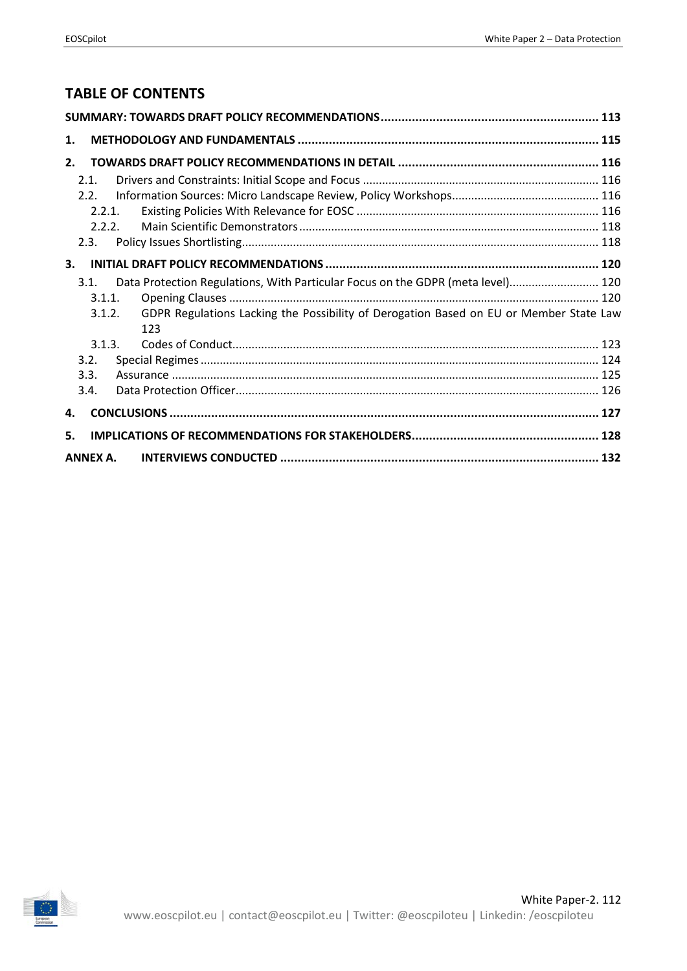# **TABLE OF CONTENTS**

| 1. |          |                                                                                               |  |
|----|----------|-----------------------------------------------------------------------------------------------|--|
| 2. |          |                                                                                               |  |
|    | 2.1.     |                                                                                               |  |
|    | 2.2.     |                                                                                               |  |
|    | 2.2.1.   |                                                                                               |  |
|    | 2.2.2.   |                                                                                               |  |
|    | 2.3.     |                                                                                               |  |
| 3. |          |                                                                                               |  |
|    | 3.1.     | Data Protection Regulations, With Particular Focus on the GDPR (meta level) 120               |  |
|    | 3.1.1.   |                                                                                               |  |
|    | 3.1.2.   | GDPR Regulations Lacking the Possibility of Derogation Based on EU or Member State Law<br>123 |  |
|    | 3.1.3.   |                                                                                               |  |
|    | 3.2.     |                                                                                               |  |
|    | 3.3.     |                                                                                               |  |
|    | 3.4.     |                                                                                               |  |
| 4. |          |                                                                                               |  |
| 5. |          |                                                                                               |  |
|    | ANNEX A. |                                                                                               |  |
|    |          |                                                                                               |  |

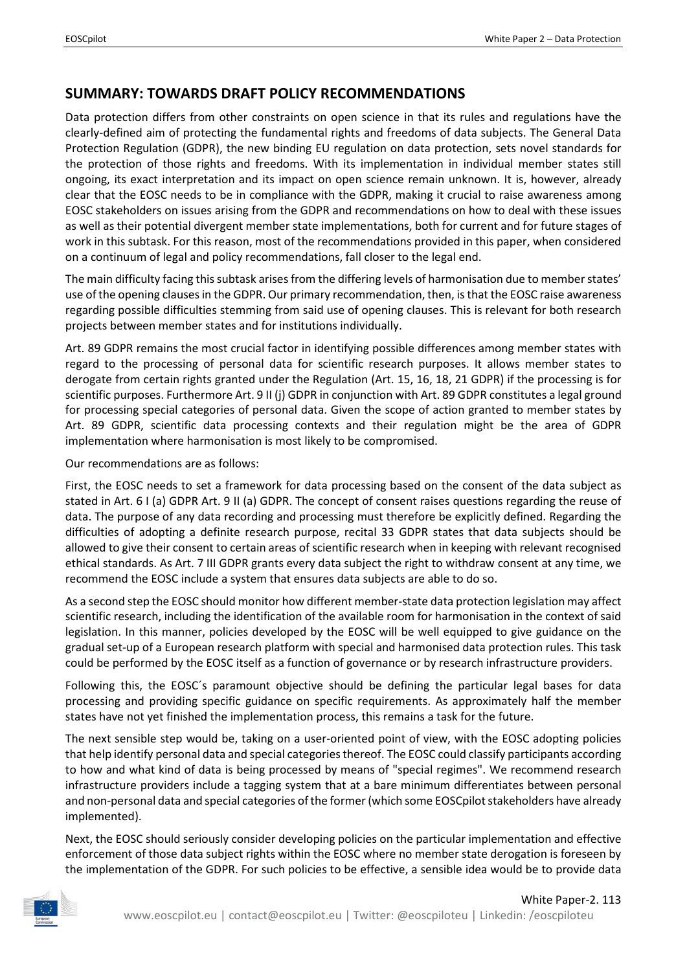# <span id="page-4-0"></span>**SUMMARY: TOWARDS DRAFT POLICY RECOMMENDATIONS**

Data protection differs from other constraints on open science in that its rules and regulations have the clearly-defined aim of protecting the fundamental rights and freedoms of data subjects. The General Data Protection Regulation (GDPR), the new binding EU regulation on data protection, sets novel standards for the protection of those rights and freedoms. With its implementation in individual member states still ongoing, its exact interpretation and its impact on open science remain unknown. It is, however, already clear that the EOSC needs to be in compliance with the GDPR, making it crucial to raise awareness among EOSC stakeholders on issues arising from the GDPR and recommendations on how to deal with these issues as well as their potential divergent member state implementations, both for current and for future stages of work in this subtask. For this reason, most of the recommendations provided in this paper, when considered on a continuum of legal and policy recommendations, fall closer to the legal end.

The main difficulty facing this subtask arises from the differing levels of harmonisation due to member states' use of the opening clauses in the GDPR. Our primary recommendation, then, is that the EOSC raise awareness regarding possible difficulties stemming from said use of opening clauses. This is relevant for both research projects between member states and for institutions individually.

Art. 89 GDPR remains the most crucial factor in identifying possible differences among member states with regard to the processing of personal data for scientific research purposes. It allows member states to derogate from certain rights granted under the Regulation (Art. 15, 16, 18, 21 GDPR) if the processing is for scientific purposes. Furthermore Art. 9 II (j) GDPR in conjunction with Art. 89 GDPR constitutes a legal ground for processing special categories of personal data. Given the scope of action granted to member states by Art. 89 GDPR, scientific data processing contexts and their regulation might be the area of GDPR implementation where harmonisation is most likely to be compromised.

Our recommendations are as follows:

First, the EOSC needs to set a framework for data processing based on the consent of the data subject as stated in Art. 6 I (a) GDPR Art. 9 II (a) GDPR. The concept of consent raises questions regarding the reuse of data. The purpose of any data recording and processing must therefore be explicitly defined. Regarding the difficulties of adopting a definite research purpose, recital 33 GDPR states that data subjects should be allowed to give their consent to certain areas of scientific research when in keeping with relevant recognised ethical standards. As Art. 7 III GDPR grants every data subject the right to withdraw consent at any time, we recommend the EOSC include a system that ensures data subjects are able to do so.

As a second step the EOSC should monitor how different member-state data protection legislation may affect scientific research, including the identification of the available room for harmonisation in the context of said legislation. In this manner, policies developed by the EOSC will be well equipped to give guidance on the gradual set-up of a European research platform with special and harmonised data protection rules. This task could be performed by the EOSC itself as a function of governance or by research infrastructure providers.

Following this, the EOSC´s paramount objective should be defining the particular legal bases for data processing and providing specific guidance on specific requirements. As approximately half the member states have not yet finished the implementation process, this remains a task for the future.

The next sensible step would be, taking on a user-oriented point of view, with the EOSC adopting policies that help identify personal data and special categories thereof. The EOSC could classify participants according to how and what kind of data is being processed by means of "special regimes". We recommend research infrastructure providers include a tagging system that at a bare minimum differentiates between personal and non-personal data and special categories of the former (which some EOSCpilot stakeholders have already implemented).

Next, the EOSC should seriously consider developing policies on the particular implementation and effective enforcement of those data subject rights within the EOSC where no member state derogation is foreseen by the implementation of the GDPR. For such policies to be effective, a sensible idea would be to provide data

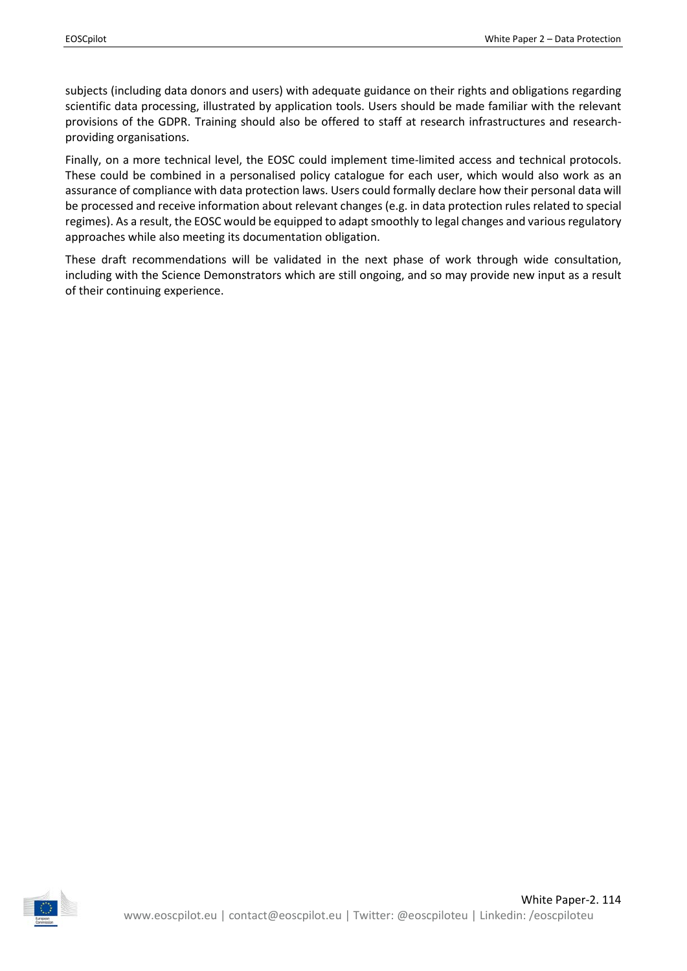subjects (including data donors and users) with adequate guidance on their rights and obligations regarding scientific data processing, illustrated by application tools. Users should be made familiar with the relevant provisions of the GDPR. Training should also be offered to staff at research infrastructures and researchproviding organisations.

Finally, on a more technical level, the EOSC could implement time-limited access and technical protocols. These could be combined in a personalised policy catalogue for each user, which would also work as an assurance of compliance with data protection laws. Users could formally declare how their personal data will be processed and receive information about relevant changes (e.g. in data protection rules related to special regimes). As a result, the EOSC would be equipped to adapt smoothly to legal changes and various regulatory approaches while also meeting its documentation obligation.

These draft recommendations will be validated in the next phase of work through wide consultation, including with the Science Demonstrators which are still ongoing, and so may provide new input as a result of their continuing experience.

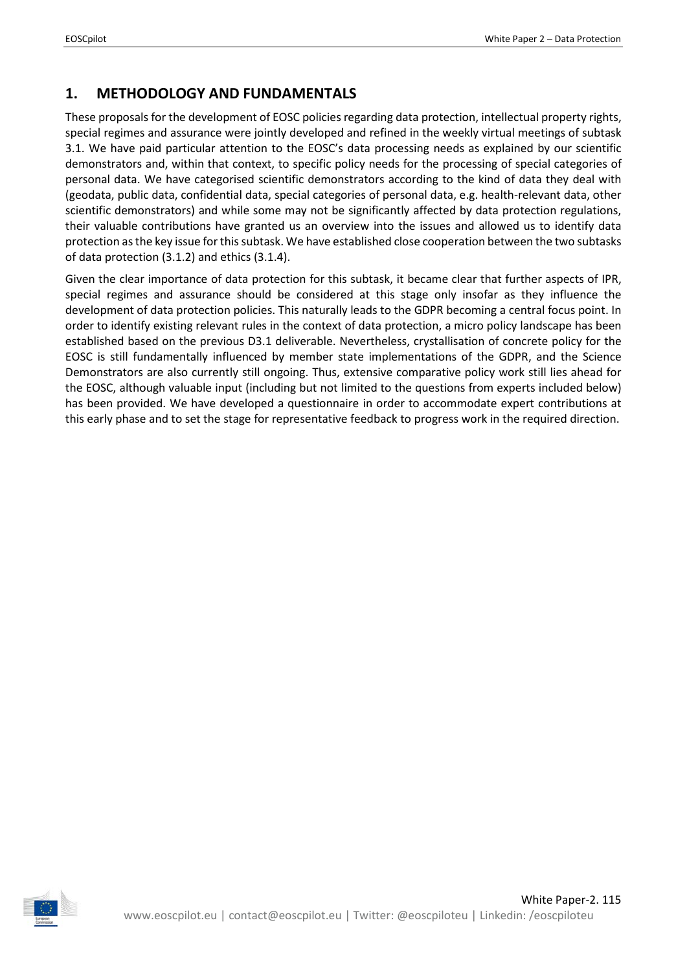# <span id="page-6-0"></span>**1. METHODOLOGY AND FUNDAMENTALS**

These proposals for the development of EOSC policies regarding data protection, intellectual property rights, special regimes and assurance were jointly developed and refined in the weekly virtual meetings of subtask 3.1. We have paid particular attention to the EOSC's data processing needs as explained by our scientific demonstrators and, within that context, to specific policy needs for the processing of special categories of personal data. We have categorised scientific demonstrators according to the kind of data they deal with (geodata, public data, confidential data, special categories of personal data, e.g. health-relevant data, other scientific demonstrators) and while some may not be significantly affected by data protection regulations, their valuable contributions have granted us an overview into the issues and allowed us to identify data protection as the key issue for this subtask. We have established close cooperation between the two subtasks of data protection (3.1.2) and ethics (3.1.4).

Given the clear importance of data protection for this subtask, it became clear that further aspects of IPR, special regimes and assurance should be considered at this stage only insofar as they influence the development of data protection policies. This naturally leads to the GDPR becoming a central focus point. In order to identify existing relevant rules in the context of data protection, a micro policy landscape has been established based on the previous D3.1 deliverable. Nevertheless, crystallisation of concrete policy for the EOSC is still fundamentally influenced by member state implementations of the GDPR, and the Science Demonstrators are also currently still ongoing. Thus, extensive comparative policy work still lies ahead for the EOSC, although valuable input (including but not limited to the questions from experts included below) has been provided. We have developed a questionnaire in order to accommodate expert contributions at this early phase and to set the stage for representative feedback to progress work in the required direction.

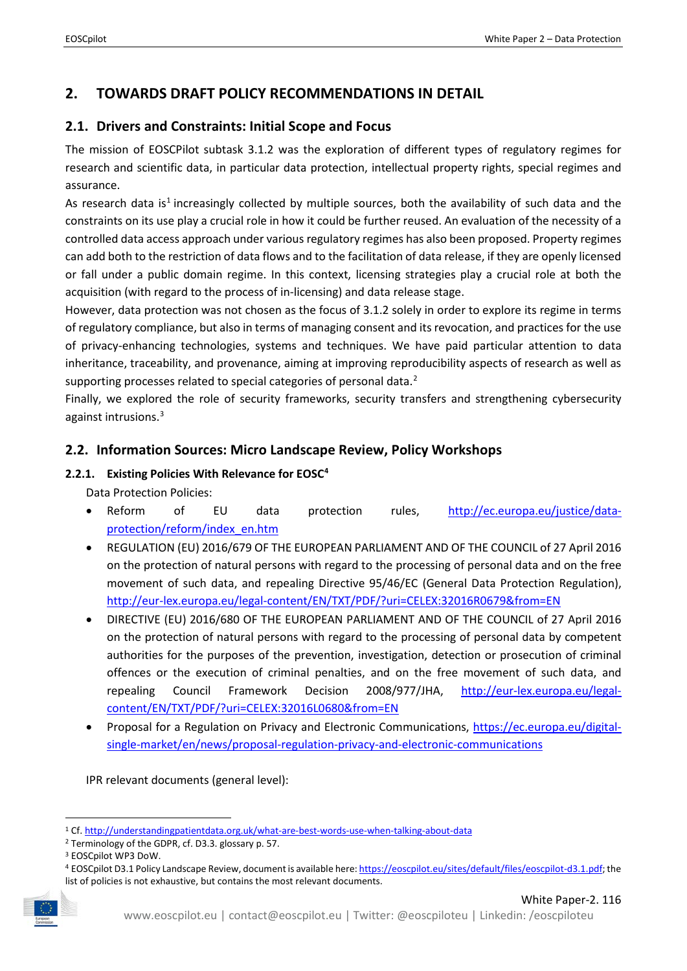# <span id="page-7-0"></span>**2. TOWARDS DRAFT POLICY RECOMMENDATIONS IN DETAIL**

### <span id="page-7-1"></span>**2.1. Drivers and Constraints: Initial Scope and Focus**

The mission of EOSCPilot subtask 3.1.2 was the exploration of different types of regulatory regimes for research and scientific data, in particular data protection, intellectual property rights, special regimes and assurance.

As research data is<sup>1</sup> increasingly collected by multiple sources, both the availability of such data and the constraints on its use play a crucial role in how it could be further reused. An evaluation of the necessity of a controlled data access approach under various regulatory regimes has also been proposed. Property regimes can add both to the restriction of data flows and to the facilitation of data release, if they are openly licensed or fall under a public domain regime. In this context, licensing strategies play a crucial role at both the acquisition (with regard to the process of in-licensing) and data release stage.

However, data protection was not chosen as the focus of 3.1.2 solely in order to explore its regime in terms of regulatory compliance, but also in terms of managing consent and its revocation, and practices for the use of privacy-enhancing technologies, systems and techniques. We have paid particular attention to data inheritance, traceability, and provenance, aiming at improving reproducibility aspects of research as well as supporting processes related to special categories of personal data.<sup>[2](#page-7-5)</sup>

Finally, we explored the role of security frameworks, security transfers and strengthening cybersecurity against intrusions.[3](#page-7-6)

### <span id="page-7-2"></span>**2.2. Information Sources: Micro Landscape Review, Policy Workshops**

#### <span id="page-7-3"></span>**2.2.1. Existing Policies With Relevance for EOSC[4](#page-7-7)**

Data Protection Policies:

- Reform of EU data protection rules, [http://ec.europa.eu/justice/data](http://ec.europa.eu/justice/data-protection/reform/index_en.htm)[protection/reform/index\\_en.htm](http://ec.europa.eu/justice/data-protection/reform/index_en.htm)
- REGULATION (EU) 2016/679 OF THE EUROPEAN PARLIAMENT AND OF THE COUNCIL of 27 April 2016 on the protection of natural persons with regard to the processing of personal data and on the free movement of such data, and repealing Directive 95/46/EC (General Data Protection Regulation), <http://eur-lex.europa.eu/legal-content/EN/TXT/PDF/?uri=CELEX:32016R0679&from=EN>
- DIRECTIVE (EU) 2016/680 OF THE EUROPEAN PARLIAMENT AND OF THE COUNCIL of 27 April 2016 on the protection of natural persons with regard to the processing of personal data by competent authorities for the purposes of the prevention, investigation, detection or prosecution of criminal offences or the execution of criminal penalties, and on the free movement of such data, and repealing Council Framework Decision 2008/977/JHA, [http://eur-lex.europa.eu/legal](http://eur-lex.europa.eu/legal-content/EN/TXT/PDF/?uri=CELEX:32016L0680&from=EN)[content/EN/TXT/PDF/?uri=CELEX:32016L0680&from=EN](http://eur-lex.europa.eu/legal-content/EN/TXT/PDF/?uri=CELEX:32016L0680&from=EN)
- Proposal for a Regulation on Privacy and Electronic Communications, [https://ec.europa.eu/digital](https://ec.europa.eu/digital-single-market/en/news/proposal-regulation-privacy-and-electronic-communications)[single-market/en/news/proposal-regulation-privacy-and-electronic-communications](https://ec.europa.eu/digital-single-market/en/news/proposal-regulation-privacy-and-electronic-communications)

IPR relevant documents (general level):

<span id="page-7-7"></span><span id="page-7-6"></span><span id="page-7-5"></span>

<span id="page-7-4"></span> <sup>1</sup> Cf[. http://understandingpatientdata.org.uk/what-are-best-words-use-when-talking-about-data](http://understandingpatientdata.org.uk/what-are-best-words-use-when-talking-about-data)

<sup>2</sup> Terminology of the GDPR, cf. D3.3. glossary p. 57.

<sup>3</sup> EOSCpilot WP3 DoW.

<sup>4</sup> EOSCpilot D3.1 Policy Landscape Review, document is available here[: https://eoscpilot.eu/sites/default/files/eoscpilot-d3.1.pdf;](https://eoscpilot.eu/sites/default/files/eoscpilot-d3.1.pdf) the list of policies is not exhaustive, but contains the most relevant documents.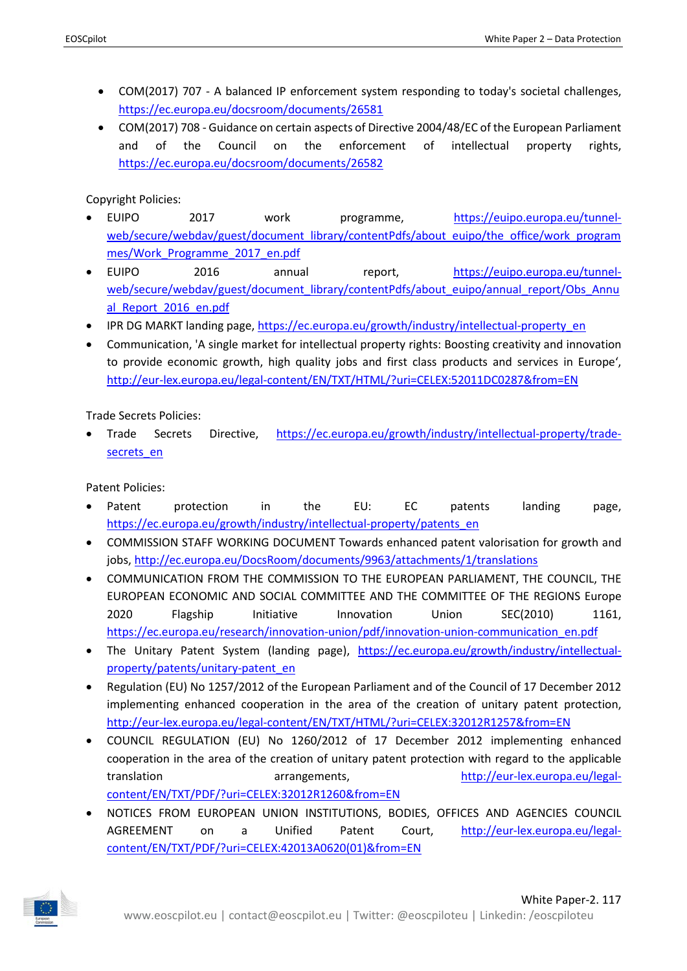- COM(2017) 707 A balanced IP enforcement system responding to today's societal challenges, <https://ec.europa.eu/docsroom/documents/26581>
- COM(2017) 708 Guidance on certain aspects of Directive 2004/48/EC of the European Parliament and of the Council on the enforcement of intellectual property rights, <https://ec.europa.eu/docsroom/documents/26582>

#### Copyright Policies:

- EUIPO 2017 work programme, [https://euipo.europa.eu/tunnel](https://euipo.europa.eu/tunnel-web/secure/webdav/guest/document_library/contentPdfs/about_euipo/the_office/work_programmes/Work_Programme_2017_en.pdf)[web/secure/webdav/guest/document\\_library/contentPdfs/about\\_euipo/the\\_office/work\\_program](https://euipo.europa.eu/tunnel-web/secure/webdav/guest/document_library/contentPdfs/about_euipo/the_office/work_programmes/Work_Programme_2017_en.pdf) [mes/Work\\_Programme\\_2017\\_en.pdf](https://euipo.europa.eu/tunnel-web/secure/webdav/guest/document_library/contentPdfs/about_euipo/the_office/work_programmes/Work_Programme_2017_en.pdf)
- EUIPO 2016 annual report, [https://euipo.europa.eu/tunnel](https://euipo.europa.eu/tunnel-web/secure/webdav/guest/document_library/contentPdfs/about_euipo/annual_report/Obs_Annual_Report_2016_en.pdf)[web/secure/webdav/guest/document\\_library/contentPdfs/about\\_euipo/annual\\_report/Obs\\_Annu](https://euipo.europa.eu/tunnel-web/secure/webdav/guest/document_library/contentPdfs/about_euipo/annual_report/Obs_Annual_Report_2016_en.pdf) al Report 2016 en.pdf
- IPR DG MARKT landing page, [https://ec.europa.eu/growth/industry/intellectual-property\\_en](https://ec.europa.eu/growth/industry/intellectual-property_en)
- Communication, 'A single market for intellectual property rights: Boosting creativity and innovation to provide economic growth, high quality jobs and first class products and services in Europe', <http://eur-lex.europa.eu/legal-content/EN/TXT/HTML/?uri=CELEX:52011DC0287&from=EN>

Trade Secrets Policies:

• Trade Secrets Directive, [https://ec.europa.eu/growth/industry/intellectual-property/trade](https://ec.europa.eu/growth/industry/intellectual-property/trade-secrets_en)[secrets\\_en](https://ec.europa.eu/growth/industry/intellectual-property/trade-secrets_en)

Patent Policies:

- Patent protection in the EU: EC patents landing page, [https://ec.europa.eu/growth/industry/intellectual-property/patents\\_en](https://ec.europa.eu/growth/industry/intellectual-property/patents_en)
- COMMISSION STAFF WORKING DOCUMENT Towards enhanced patent valorisation for growth and jobs[, http://ec.europa.eu/DocsRoom/documents/9963/attachments/1/translations](http://ec.europa.eu/DocsRoom/documents/9963/attachments/1/translations)
- COMMUNICATION FROM THE COMMISSION TO THE EUROPEAN PARLIAMENT, THE COUNCIL, THE EUROPEAN ECONOMIC AND SOCIAL COMMITTEE AND THE COMMITTEE OF THE REGIONS Europe 2020 Flagship Initiative Innovation Union SEC(2010) 1161, [https://ec.europa.eu/research/innovation-union/pdf/innovation-union-communication\\_en.pdf](https://ec.europa.eu/research/innovation-union/pdf/innovation-union-communication_en.pdf)
- The Unitary Patent System (landing page), [https://ec.europa.eu/growth/industry/intellectual](https://ec.europa.eu/growth/industry/intellectual-property/patents/unitary-patent_en)[property/patents/unitary-patent\\_en](https://ec.europa.eu/growth/industry/intellectual-property/patents/unitary-patent_en)
- Regulation (EU) No 1257/2012 of the European Parliament and of the Council of 17 December 2012 implementing enhanced cooperation in the area of the creation of unitary patent protection, <http://eur-lex.europa.eu/legal-content/EN/TXT/HTML/?uri=CELEX:32012R1257&from=EN>
- COUNCIL REGULATION (EU) No 1260/2012 of 17 December 2012 implementing enhanced cooperation in the area of the creation of unitary patent protection with regard to the applicable translation arrangements, [http://eur-lex.europa.eu/legal](http://eur-lex.europa.eu/legal-content/EN/TXT/PDF/?uri=CELEX:32012R1260&from=EN)[content/EN/TXT/PDF/?uri=CELEX:32012R1260&from=EN](http://eur-lex.europa.eu/legal-content/EN/TXT/PDF/?uri=CELEX:32012R1260&from=EN)
- NOTICES FROM EUROPEAN UNION INSTITUTIONS, BODIES, OFFICES AND AGENCIES COUNCIL AGREEMENT on a Unified Patent Court, [http://eur-lex.europa.eu/legal](http://eur-lex.europa.eu/legal-content/EN/TXT/PDF/?uri=CELEX:42013A0620(01)&from=EN)[content/EN/TXT/PDF/?uri=CELEX:42013A0620\(01\)&from=EN](http://eur-lex.europa.eu/legal-content/EN/TXT/PDF/?uri=CELEX:42013A0620(01)&from=EN)

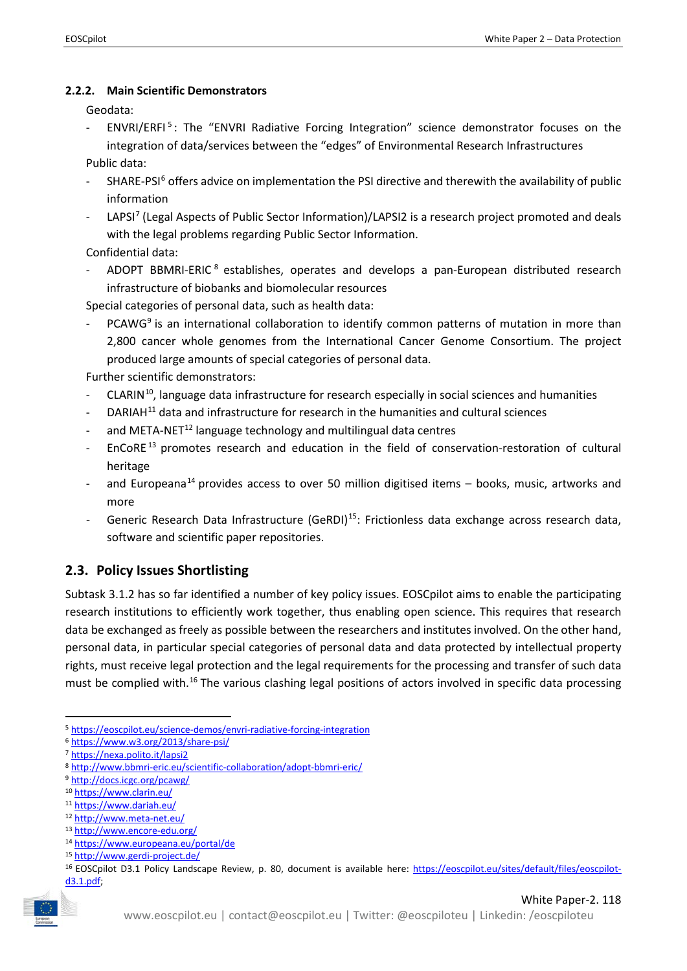#### <span id="page-9-0"></span>**2.2.2. Main Scientific Demonstrators**

Geodata:

ENVRI/ERFI<sup>[5](#page-9-2)</sup>: The "ENVRI Radiative Forcing Integration" science demonstrator focuses on the integration of data/services between the "edges" of Environmental Research Infrastructures

Public data:

- SHARE-PSI<sup>[6](#page-9-3)</sup> offers advice on implementation the PSI directive and therewith the availability of public information
- LAPSI<sup>[7](#page-9-4)</sup> (Legal Aspects of Public Sector Information)/LAPSI2 is a research project promoted and deals with the legal problems regarding Public Sector Information.

Confidential data:

- ADOPT BBMRI-ERIC [8](#page-9-5) establishes, operates and develops a pan-European distributed research infrastructure of biobanks and biomolecular resources

Special categories of personal data, such as health data:

 $PCAWG<sup>9</sup>$  $PCAWG<sup>9</sup>$  $PCAWG<sup>9</sup>$  is an international collaboration to identify common patterns of mutation in more than 2,800 cancer whole genomes from the International Cancer Genome Consortium. The project produced large amounts of special categories of personal data.

Further scientific demonstrators:

- CLARIN<sup>10</sup>, language data infrastructure for research especially in social sciences and humanities
- $DARIAH<sup>11</sup>$  $DARIAH<sup>11</sup>$  $DARIAH<sup>11</sup>$  data and infrastructure for research in the humanities and cultural sciences
- and META-NET<sup>[12](#page-9-9)</sup> language technology and multilingual data centres
- EnCoRE<sup>[13](#page-9-10)</sup> promotes research and education in the field of conservation-restoration of cultural heritage
- and Europeana<sup>[14](#page-9-11)</sup> provides access to over 50 million digitised items  $-$  books, music, artworks and more
- Generic Research Data Infrastructure (GeRDI)<sup>[15](#page-9-12)</sup>: Frictionless data exchange across research data, software and scientific paper repositories.

# <span id="page-9-1"></span>**2.3. Policy Issues Shortlisting**

Subtask 3.1.2 has so far identified a number of key policy issues. EOSCpilot aims to enable the participating research institutions to efficiently work together, thus enabling open science. This requires that research data be exchanged as freely as possible between the researchers and institutes involved. On the other hand, personal data, in particular special categories of personal data and data protected by intellectual property rights, must receive legal protection and the legal requirements for the processing and transfer of such data must be complied with.<sup>[16](#page-9-13)</sup> The various clashing legal positions of actors involved in specific data processing

<sup>13</sup> <http://www.encore-edu.org/> <sup>14</sup> <https://www.europeana.eu/portal/de>

<span id="page-9-13"></span><span id="page-9-12"></span><span id="page-9-11"></span><sup>16</sup> EOSCpilot D3.1 Policy Landscape Review, p. 80, document is available here: [https://eoscpilot.eu/sites/default/files/eoscpilot](https://eoscpilot.eu/sites/default/files/eoscpilot-d3.1.pdf)[d3.1.pdf;](https://eoscpilot.eu/sites/default/files/eoscpilot-d3.1.pdf) 



<span id="page-9-4"></span><span id="page-9-3"></span><span id="page-9-2"></span> <sup>5</sup> <https://eoscpilot.eu/science-demos/envri-radiative-forcing-integration>

<span id="page-9-5"></span><sup>6</sup> <https://www.w3.org/2013/share-psi/>

<span id="page-9-6"></span><sup>7</sup> <https://nexa.polito.it/lapsi2>

<span id="page-9-7"></span><sup>8</sup> <http://www.bbmri-eric.eu/scientific-collaboration/adopt-bbmri-eric/>

<span id="page-9-8"></span><sup>9</sup> <http://docs.icgc.org/pcawg/>

<span id="page-9-9"></span><sup>10</sup> <https://www.clarin.eu/>

<span id="page-9-10"></span><sup>11</sup> <https://www.dariah.eu/>

<sup>12</sup> <http://www.meta-net.eu/>

<sup>15</sup> <http://www.gerdi-project.de/>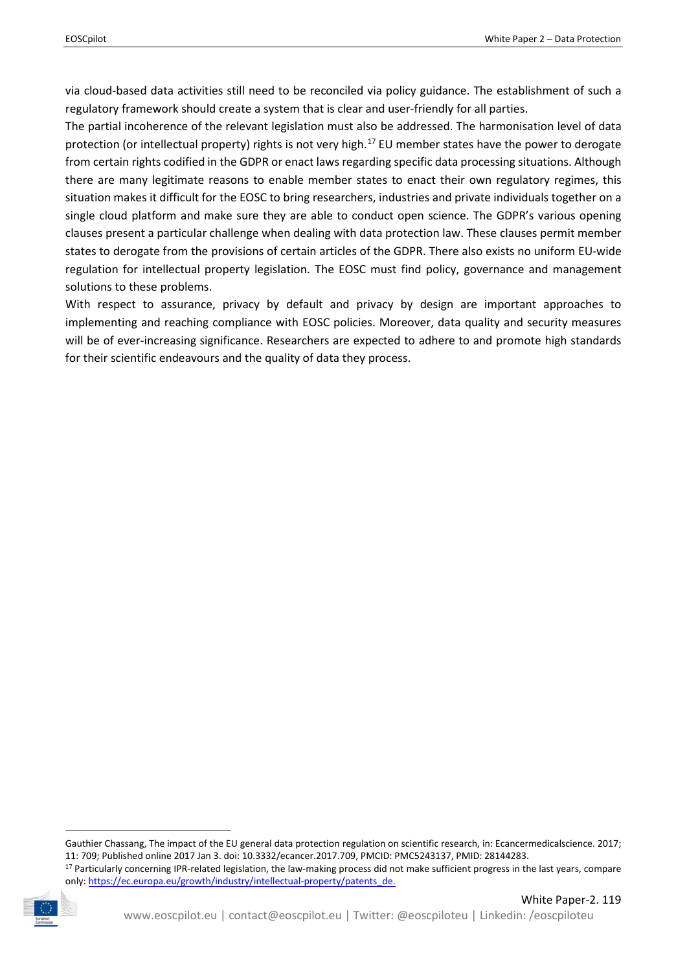via cloud-based data activities still need to be reconciled via policy guidance. The establishment of such a regulatory framework should create a system that is clear and user-friendly for all parties.

The partial incoherence of the relevant legislation must also be addressed. The harmonisation level of data protection (or intellectual property) rights is not very high.<sup>[17](#page-10-0)</sup> EU member states have the power to derogate from certain rights codified in the GDPR or enact laws regarding specific data processing situations. Although there are many legitimate reasons to enable member states to enact their own regulatory regimes, this situation makes it difficult for the EOSC to bring researchers, industries and private individuals together on a single cloud platform and make sure they are able to conduct open science. The GDPR's various opening clauses present a particular challenge when dealing with data protection law. These clauses permit member states to derogate from the provisions of certain articles of the GDPR. There also exists no uniform EU-wide regulation for intellectual property legislation. The EOSC must find policy, governance and management solutions to these problems.

With respect to assurance, privacy by default and privacy by design are important approaches to implementing and reaching compliance with EOSC policies. Moreover, data quality and security measures will be of ever-increasing significance. Researchers are expected to adhere to and promote high standards for their scientific endeavours and the quality of data they process.

Gauthier Chassang, The impact of the EU general data protection regulation on scientific research, in: Ecancermedicalscience. 2017; 11: 709; Published online 2017 Jan 3. doi: 10.3332/ecancer.2017.709, PMCID: PMC5243137, PMID: 28144283. 17 Particularly concerning IPR-related legislation, the law-making process did not make sufficient progress in the last years, compare only: [https://ec.europa.eu/growth/industry/intellectual-property/patents\\_de.](https://ec.europa.eu/growth/industry/intellectual-property/patents_de)

<span id="page-10-0"></span>

**.**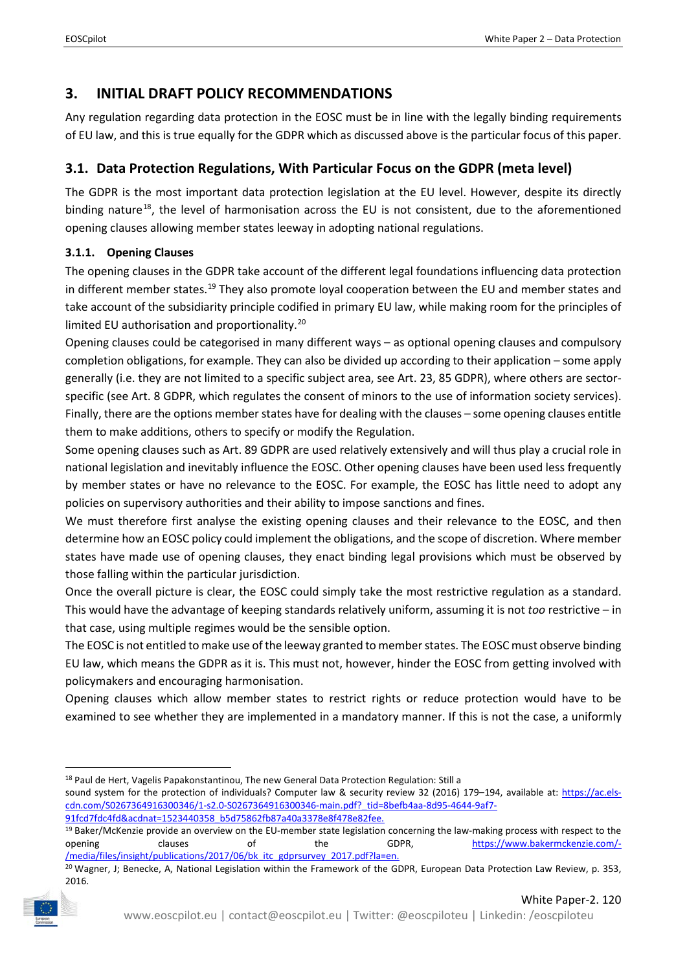# <span id="page-11-0"></span>**3. INITIAL DRAFT POLICY RECOMMENDATIONS**

Any regulation regarding data protection in the EOSC must be in line with the legally binding requirements of EU law, and this is true equally for the GDPR which as discussed above is the particular focus of this paper.

# <span id="page-11-1"></span>**3.1. Data Protection Regulations, With Particular Focus on the GDPR (meta level)**

The GDPR is the most important data protection legislation at the EU level. However, despite its directly binding nature<sup>[18](#page-11-3)</sup>, the level of harmonisation across the EU is not consistent, due to the aforementioned opening clauses allowing member states leeway in adopting national regulations.

### <span id="page-11-2"></span>**3.1.1. Opening Clauses**

The opening clauses in the GDPR take account of the different legal foundations influencing data protection in different member states.<sup>[19](#page-11-4)</sup> They also promote loyal cooperation between the EU and member states and take account of the subsidiarity principle codified in primary EU law, while making room for the principles of limited EU authorisation and proportionality.[20](#page-11-5)

Opening clauses could be categorised in many different ways – as optional opening clauses and compulsory completion obligations, for example. They can also be divided up according to their application – some apply generally (i.e. they are not limited to a specific subject area, see Art. 23, 85 GDPR), where others are sectorspecific (see Art. 8 GDPR, which regulates the consent of minors to the use of information society services). Finally, there are the options member states have for dealing with the clauses – some opening clauses entitle them to make additions, others to specify or modify the Regulation.

Some opening clauses such as Art. 89 GDPR are used relatively extensively and will thus play a crucial role in national legislation and inevitably influence the EOSC. Other opening clauses have been used less frequently by member states or have no relevance to the EOSC. For example, the EOSC has little need to adopt any policies on supervisory authorities and their ability to impose sanctions and fines.

We must therefore first analyse the existing opening clauses and their relevance to the EOSC, and then determine how an EOSC policy could implement the obligations, and the scope of discretion. Where member states have made use of opening clauses, they enact binding legal provisions which must be observed by those falling within the particular jurisdiction.

Once the overall picture is clear, the EOSC could simply take the most restrictive regulation as a standard. This would have the advantage of keeping standards relatively uniform, assuming it is not *too* restrictive – in that case, using multiple regimes would be the sensible option.

The EOSC is not entitled to make use of the leeway granted to member states. The EOSC must observe binding EU law, which means the GDPR as it is. This must not, however, hinder the EOSC from getting involved with policymakers and encouraging harmonisation.

Opening clauses which allow member states to restrict rights or reduce protection would have to be examined to see whether they are implemented in a mandatory manner. If this is not the case, a uniformly

sound system for the protection of individuals? Computer law & security review 32 (2016) 179–194, available at: [https://ac.els](https://ac.els-cdn.com/S0267364916300346/1-s2.0-S0267364916300346-main.pdf?_tid=8befb4aa-8d95-4644-9af7-91fcd7fdc4fd&acdnat=1523440358_b5d75862fb87a40a3378e8f478e82fee)[cdn.com/S0267364916300346/1-s2.0-S0267364916300346-main.pdf?\\_tid=8befb4aa-8d95-4644-9af7-](https://ac.els-cdn.com/S0267364916300346/1-s2.0-S0267364916300346-main.pdf?_tid=8befb4aa-8d95-4644-9af7-91fcd7fdc4fd&acdnat=1523440358_b5d75862fb87a40a3378e8f478e82fee) [91fcd7fdc4fd&acdnat=1523440358\\_b5d75862fb87a40a3378e8f478e82fee.](https://ac.els-cdn.com/S0267364916300346/1-s2.0-S0267364916300346-main.pdf?_tid=8befb4aa-8d95-4644-9af7-91fcd7fdc4fd&acdnat=1523440358_b5d75862fb87a40a3378e8f478e82fee)

<span id="page-11-5"></span><span id="page-11-4"></span><sup>20</sup> Wagner, J; Benecke, A, National Legislation within the Framework of the GDPR, European Data Protection Law Review, p. 353, 2016.



<span id="page-11-3"></span> <sup>18</sup> Paul de Hert, Vagelis Papakonstantinou, The new General Data Protection Regulation: Still a

<sup>19</sup> Baker/McKenzie provide an overview on the EU-member state legislation concerning the law-making process with respect to the opening clauses of the GDPR, [https://www.bakermckenzie.com/-](https://www.bakermckenzie.com/-/media/files/insight/publications/2017/06/bk_itc_gdprsurvey_2017.pdf?la=en) [/media/files/insight/publications/2017/06/bk\\_itc\\_gdprsurvey\\_2017.pdf?la=en.](https://www.bakermckenzie.com/-/media/files/insight/publications/2017/06/bk_itc_gdprsurvey_2017.pdf?la=en)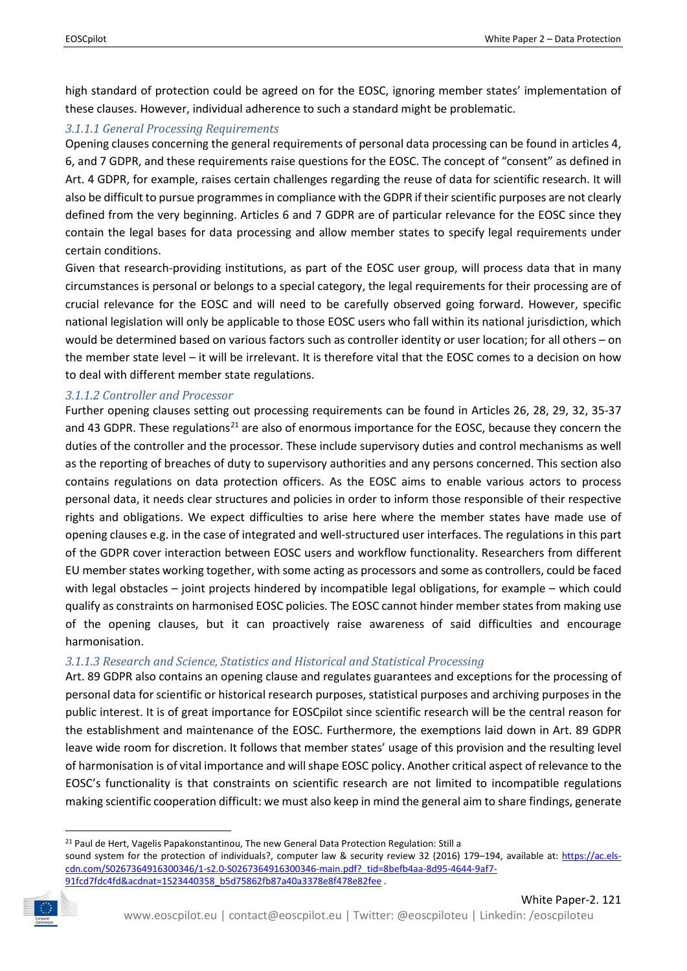high standard of protection could be agreed on for the EOSC, ignoring member states' implementation of these clauses. However, individual adherence to such a standard might be problematic.

#### *3.1.1.1 General Processing Requirements*

Opening clauses concerning the general requirements of personal data processing can be found in articles 4, 6, and 7 GDPR, and these requirements raise questions for the EOSC. The concept of "consent" as defined in Art. 4 GDPR, for example, raises certain challenges regarding the reuse of data for scientific research. It will also be difficult to pursue programmes in compliance with the GDPR if their scientific purposes are not clearly defined from the very beginning. Articles 6 and 7 GDPR are of particular relevance for the EOSC since they contain the legal bases for data processing and allow member states to specify legal requirements under certain conditions.

Given that research-providing institutions, as part of the EOSC user group, will process data that in many circumstances is personal or belongs to a special category, the legal requirements for their processing are of crucial relevance for the EOSC and will need to be carefully observed going forward. However, specific national legislation will only be applicable to those EOSC users who fall within its national jurisdiction, which would be determined based on various factors such as controller identity or user location; for all others – on the member state level – it will be irrelevant. It is therefore vital that the EOSC comes to a decision on how to deal with different member state regulations.

#### *3.1.1.2 Controller and Processor*

Further opening clauses setting out processing requirements can be found in Articles 26, 28, 29, 32, 35-37 and 43 GDPR. These regulations<sup>[21](#page-12-0)</sup> are also of enormous importance for the EOSC, because they concern the duties of the controller and the processor. These include supervisory duties and control mechanisms as well as the reporting of breaches of duty to supervisory authorities and any persons concerned. This section also contains regulations on data protection officers. As the EOSC aims to enable various actors to process personal data, it needs clear structures and policies in order to inform those responsible of their respective rights and obligations. We expect difficulties to arise here where the member states have made use of opening clauses e.g. in the case of integrated and well-structured user interfaces. The regulations in this part of the GDPR cover interaction between EOSC users and workflow functionality. Researchers from different EU member states working together, with some acting as processors and some as controllers, could be faced with legal obstacles – joint projects hindered by incompatible legal obligations, for example – which could qualify as constraints on harmonised EOSC policies. The EOSC cannot hinder member states from making use of the opening clauses, but it can proactively raise awareness of said difficulties and encourage harmonisation.

#### *3.1.1.3 Research and Science, Statistics and Historical and Statistical Processing*

Art. 89 GDPR also contains an opening clause and regulates guarantees and exceptions for the processing of personal data for scientific or historical research purposes, statistical purposes and archiving purposes in the public interest. It is of great importance for EOSCpilot since scientific research will be the central reason for the establishment and maintenance of the EOSC. Furthermore, the exemptions laid down in Art. 89 GDPR leave wide room for discretion. It follows that member states' usage of this provision and the resulting level of harmonisation is of vital importance and will shape EOSC policy. Another critical aspect of relevance to the EOSC's functionality is that constraints on scientific research are not limited to incompatible regulations making scientific cooperation difficult: we must also keep in mind the general aim to share findings, generate

<span id="page-12-0"></span><sup>&</sup>lt;sup>21</sup> Paul de Hert, Vagelis Papakonstantinou, The new General Data Protection Regulation: Still a sound system for the protection of individuals?, computer law & security review 32 (2016) 179–194, available at: [https://ac.els](https://ac.els-cdn.com/S0267364916300346/1-s2.0-S0267364916300346-main.pdf?_tid=8befb4aa-8d95-4644-9af7-91fcd7fdc4fd&acdnat=1523440358_b5d75862fb87a40a3378e8f478e82fee)[cdn.com/S0267364916300346/1-s2.0-S0267364916300346-main.pdf?\\_tid=8befb4aa-8d95-4644-9af7-](https://ac.els-cdn.com/S0267364916300346/1-s2.0-S0267364916300346-main.pdf?_tid=8befb4aa-8d95-4644-9af7-91fcd7fdc4fd&acdnat=1523440358_b5d75862fb87a40a3378e8f478e82fee) [91fcd7fdc4fd&acdnat=1523440358\\_b5d75862fb87a40a3378e8f478e82fee](https://ac.els-cdn.com/S0267364916300346/1-s2.0-S0267364916300346-main.pdf?_tid=8befb4aa-8d95-4644-9af7-91fcd7fdc4fd&acdnat=1523440358_b5d75862fb87a40a3378e8f478e82fee) .

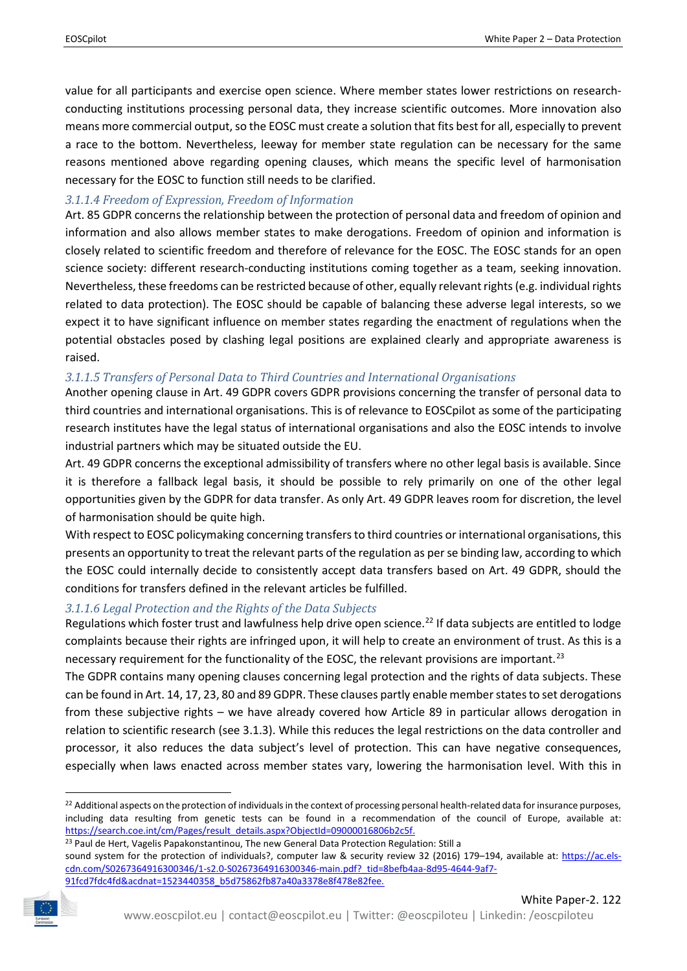value for all participants and exercise open science. Where member states lower restrictions on researchconducting institutions processing personal data, they increase scientific outcomes. More innovation also means more commercial output, so the EOSC must create a solution that fits best for all, especially to prevent a race to the bottom. Nevertheless, leeway for member state regulation can be necessary for the same reasons mentioned above regarding opening clauses, which means the specific level of harmonisation necessary for the EOSC to function still needs to be clarified.

#### *3.1.1.4 Freedom of Expression, Freedom of Information*

Art. 85 GDPR concerns the relationship between the protection of personal data and freedom of opinion and information and also allows member states to make derogations. Freedom of opinion and information is closely related to scientific freedom and therefore of relevance for the EOSC. The EOSC stands for an open science society: different research-conducting institutions coming together as a team, seeking innovation. Nevertheless, these freedoms can be restricted because of other, equally relevantrights (e.g. individual rights related to data protection). The EOSC should be capable of balancing these adverse legal interests, so we expect it to have significant influence on member states regarding the enactment of regulations when the potential obstacles posed by clashing legal positions are explained clearly and appropriate awareness is raised.

#### *3.1.1.5 Transfers of Personal Data to Third Countries and International Organisations*

Another opening clause in Art. 49 GDPR covers GDPR provisions concerning the transfer of personal data to third countries and international organisations. This is of relevance to EOSCpilot as some of the participating research institutes have the legal status of international organisations and also the EOSC intends to involve industrial partners which may be situated outside the EU.

Art. 49 GDPR concerns the exceptional admissibility of transfers where no other legal basis is available. Since it is therefore a fallback legal basis, it should be possible to rely primarily on one of the other legal opportunities given by the GDPR for data transfer. As only Art. 49 GDPR leaves room for discretion, the level of harmonisation should be quite high.

With respect to EOSC policymaking concerning transfers to third countries or international organisations, this presents an opportunity to treat the relevant parts of the regulation as per se binding law, according to which the EOSC could internally decide to consistently accept data transfers based on Art. 49 GDPR, should the conditions for transfers defined in the relevant articles be fulfilled.

#### *3.1.1.6 Legal Protection and the Rights of the Data Subjects*

Regulations which foster trust and lawfulness help drive open science.<sup>[22](#page-13-0)</sup> If data subjects are entitled to lodge complaints because their rights are infringed upon, it will help to create an environment of trust. As this is a necessary requirement for the functionality of the EOSC, the relevant provisions are important.<sup>[23](#page-13-1)</sup>

The GDPR contains many opening clauses concerning legal protection and the rights of data subjects. These can be found in Art. 14, 17, 23, 80 and 89 GDPR. These clauses partly enable member states to set derogations from these subjective rights – we have already covered how Article 89 in particular allows derogation in relation to scientific research (see 3.1.3). While this reduces the legal restrictions on the data controller and processor, it also reduces the data subject's level of protection. This can have negative consequences, especially when laws enacted across member states vary, lowering the harmonisation level. With this in

```
<sup>23</sup> Paul de Hert, Vagelis Papakonstantinou, The new General Data Protection Regulation: Still a
```
<span id="page-13-1"></span><span id="page-13-0"></span>sound system for the protection of individuals?, computer law & security review 32 (2016) 179–194, available at: [https://ac.els](https://ac.els-cdn.com/S0267364916300346/1-s2.0-S0267364916300346-main.pdf?_tid=8befb4aa-8d95-4644-9af7-91fcd7fdc4fd&acdnat=1523440358_b5d75862fb87a40a3378e8f478e82fee)[cdn.com/S0267364916300346/1-s2.0-S0267364916300346-main.pdf?\\_tid=8befb4aa-8d95-4644-9af7-](https://ac.els-cdn.com/S0267364916300346/1-s2.0-S0267364916300346-main.pdf?_tid=8befb4aa-8d95-4644-9af7-91fcd7fdc4fd&acdnat=1523440358_b5d75862fb87a40a3378e8f478e82fee) [91fcd7fdc4fd&acdnat=1523440358\\_b5d75862fb87a40a3378e8f478e82fee.](https://ac.els-cdn.com/S0267364916300346/1-s2.0-S0267364916300346-main.pdf?_tid=8befb4aa-8d95-4644-9af7-91fcd7fdc4fd&acdnat=1523440358_b5d75862fb87a40a3378e8f478e82fee)



<sup>&</sup>lt;sup>22</sup> Additional aspects on the protection of individuals in the context of processing personal health-related data for insurance purposes, including data resulting from genetic tests can be found in a recommendation of the council of Europe, available at: [https://search.coe.int/cm/Pages/result\\_details.aspx?ObjectId=09000016806b2c5f.](https://search.coe.int/cm/Pages/result_details.aspx?ObjectId=09000016806b2c5f)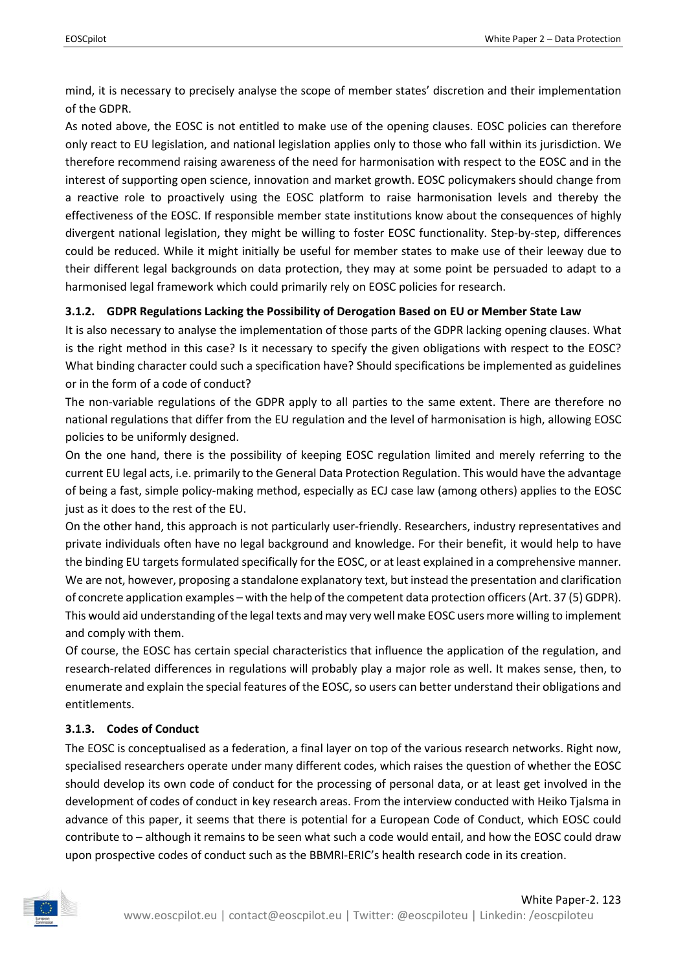mind, it is necessary to precisely analyse the scope of member states' discretion and their implementation of the GDPR.

As noted above, the EOSC is not entitled to make use of the opening clauses. EOSC policies can therefore only react to EU legislation, and national legislation applies only to those who fall within its jurisdiction. We therefore recommend raising awareness of the need for harmonisation with respect to the EOSC and in the interest of supporting open science, innovation and market growth. EOSC policymakers should change from a reactive role to proactively using the EOSC platform to raise harmonisation levels and thereby the effectiveness of the EOSC. If responsible member state institutions know about the consequences of highly divergent national legislation, they might be willing to foster EOSC functionality. Step-by-step, differences could be reduced. While it might initially be useful for member states to make use of their leeway due to their different legal backgrounds on data protection, they may at some point be persuaded to adapt to a harmonised legal framework which could primarily rely on EOSC policies for research.

#### <span id="page-14-0"></span>**3.1.2. GDPR Regulations Lacking the Possibility of Derogation Based on EU or Member State Law**

It is also necessary to analyse the implementation of those parts of the GDPR lacking opening clauses. What is the right method in this case? Is it necessary to specify the given obligations with respect to the EOSC? What binding character could such a specification have? Should specifications be implemented as guidelines or in the form of a code of conduct?

The non-variable regulations of the GDPR apply to all parties to the same extent. There are therefore no national regulations that differ from the EU regulation and the level of harmonisation is high, allowing EOSC policies to be uniformly designed.

On the one hand, there is the possibility of keeping EOSC regulation limited and merely referring to the current EU legal acts, i.e. primarily to the General Data Protection Regulation. This would have the advantage of being a fast, simple policy-making method, especially as ECJ case law (among others) applies to the EOSC just as it does to the rest of the EU.

On the other hand, this approach is not particularly user-friendly. Researchers, industry representatives and private individuals often have no legal background and knowledge. For their benefit, it would help to have the binding EU targets formulated specifically for the EOSC, or at least explained in a comprehensive manner. We are not, however, proposing a standalone explanatory text, but instead the presentation and clarification of concrete application examples – with the help of the competent data protection officers (Art. 37 (5) GDPR). This would aid understanding of the legal texts and may very well make EOSC users more willing to implement and comply with them.

Of course, the EOSC has certain special characteristics that influence the application of the regulation, and research-related differences in regulations will probably play a major role as well. It makes sense, then, to enumerate and explain the special features of the EOSC, so users can better understand their obligations and entitlements.

#### <span id="page-14-1"></span>**3.1.3. Codes of Conduct**

The EOSC is conceptualised as a federation, a final layer on top of the various research networks. Right now, specialised researchers operate under many different codes, which raises the question of whether the EOSC should develop its own code of conduct for the processing of personal data, or at least get involved in the development of codes of conduct in key research areas. From the interview conducted with Heiko Tjalsma in advance of this paper, it seems that there is potential for a European Code of Conduct, which EOSC could contribute to – although it remains to be seen what such a code would entail, and how the EOSC could draw upon prospective codes of conduct such as the BBMRI-ERIC's health research code in its creation.

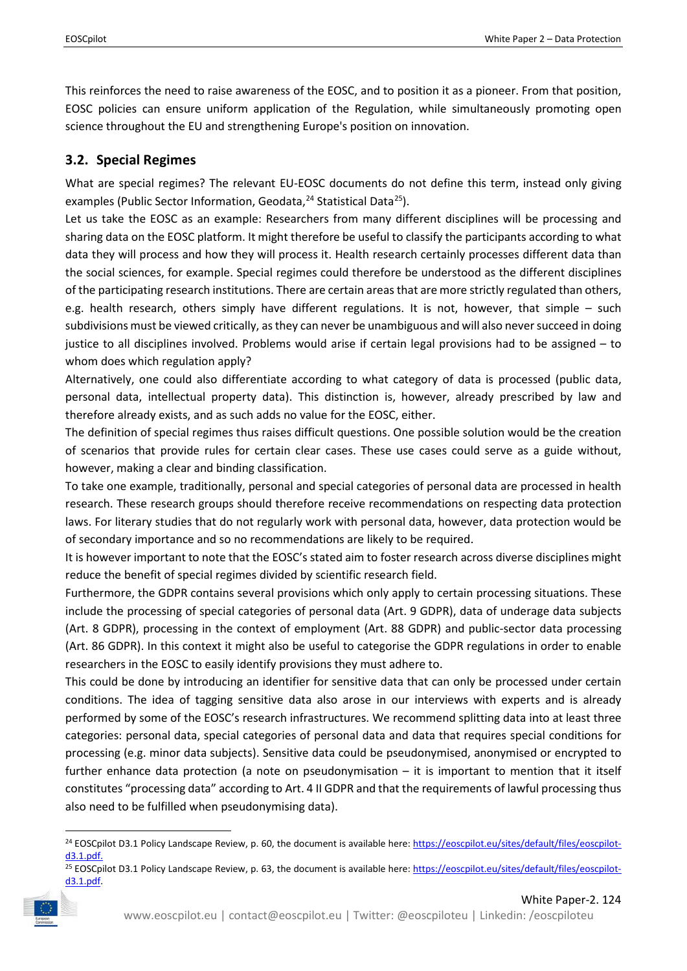This reinforces the need to raise awareness of the EOSC, and to position it as a pioneer. From that position, EOSC policies can ensure uniform application of the Regulation, while simultaneously promoting open science throughout the EU and strengthening Europe's position on innovation.

### <span id="page-15-0"></span>**3.2. Special Regimes**

What are special regimes? The relevant EU-EOSC documents do not define this term, instead only giving examples (Public Sector Information, Geodata, <sup>[24](#page-15-1)</sup> Statistical Data<sup>25</sup>).

Let us take the EOSC as an example: Researchers from many different disciplines will be processing and sharing data on the EOSC platform. It might therefore be useful to classify the participants according to what data they will process and how they will process it. Health research certainly processes different data than the social sciences, for example. Special regimes could therefore be understood as the different disciplines of the participating research institutions. There are certain areas that are more strictly regulated than others, e.g. health research, others simply have different regulations. It is not, however, that simple – such subdivisions must be viewed critically, as they can never be unambiguous and will also never succeed in doing justice to all disciplines involved. Problems would arise if certain legal provisions had to be assigned – to whom does which regulation apply?

Alternatively, one could also differentiate according to what category of data is processed (public data, personal data, intellectual property data). This distinction is, however, already prescribed by law and therefore already exists, and as such adds no value for the EOSC, either.

The definition of special regimes thus raises difficult questions. One possible solution would be the creation of scenarios that provide rules for certain clear cases. These use cases could serve as a guide without, however, making a clear and binding classification.

To take one example, traditionally, personal and special categories of personal data are processed in health research. These research groups should therefore receive recommendations on respecting data protection laws. For literary studies that do not regularly work with personal data, however, data protection would be of secondary importance and so no recommendations are likely to be required.

It is however important to note that the EOSC's stated aim to foster research across diverse disciplines might reduce the benefit of special regimes divided by scientific research field.

Furthermore, the GDPR contains several provisions which only apply to certain processing situations. These include the processing of special categories of personal data (Art. 9 GDPR), data of underage data subjects (Art. 8 GDPR), processing in the context of employment (Art. 88 GDPR) and public-sector data processing (Art. 86 GDPR). In this context it might also be useful to categorise the GDPR regulations in order to enable researchers in the EOSC to easily identify provisions they must adhere to.

This could be done by introducing an identifier for sensitive data that can only be processed under certain conditions. The idea of tagging sensitive data also arose in our interviews with experts and is already performed by some of the EOSC's research infrastructures. We recommend splitting data into at least three categories: personal data, special categories of personal data and data that requires special conditions for processing (e.g. minor data subjects). Sensitive data could be pseudonymised, anonymised or encrypted to further enhance data protection (a note on pseudonymisation – it is important to mention that it itself constitutes "processing data" according to Art. 4 II GDPR and that the requirements of lawful processing thus also need to be fulfilled when pseudonymising data).

<span id="page-15-2"></span><span id="page-15-1"></span><sup>&</sup>lt;sup>25</sup> EOSCpilot D3.1 Policy Landscape Review, p. 63, the document is available here: [https://eoscpilot.eu/sites/default/files/eoscpilot](https://eoscpilot.eu/sites/default/files/eoscpilot-d3.1.pdf)[d3.1.pdf.](https://eoscpilot.eu/sites/default/files/eoscpilot-d3.1.pdf)



<sup>&</sup>lt;sup>24</sup> EOSCpilot D3.1 Policy Landscape Review, p. 60, the document is available here: [https://eoscpilot.eu/sites/default/files/eoscpilot](https://eoscpilot.eu/sites/default/files/eoscpilot-d3.1.pdf)[d3.1.pdf.](https://eoscpilot.eu/sites/default/files/eoscpilot-d3.1.pdf)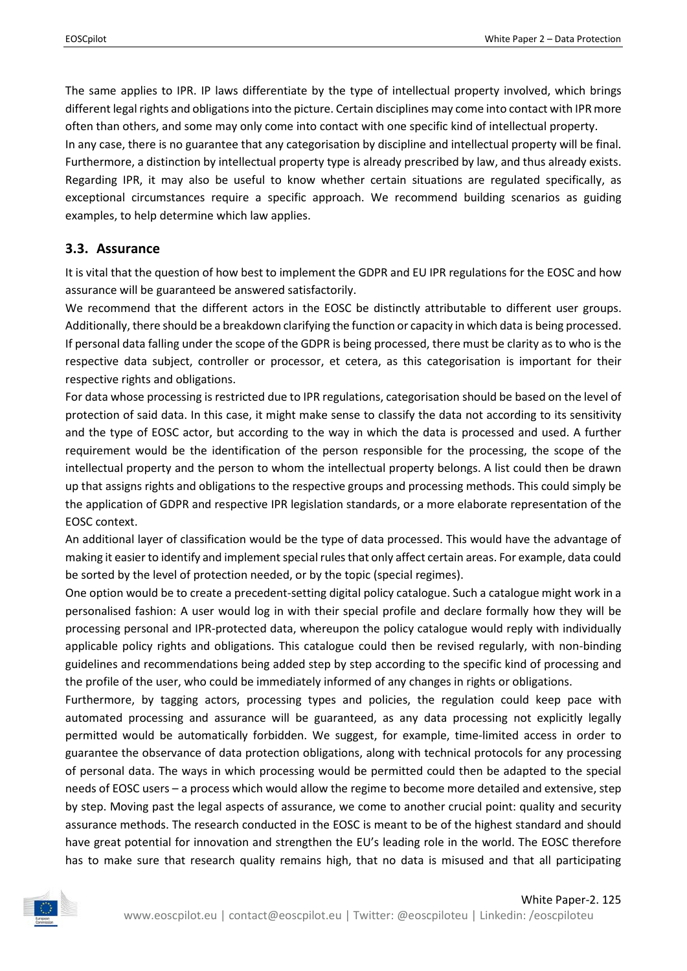The same applies to IPR. IP laws differentiate by the type of intellectual property involved, which brings different legal rights and obligations into the picture. Certain disciplines may come into contact with IPR more often than others, and some may only come into contact with one specific kind of intellectual property.

In any case, there is no guarantee that any categorisation by discipline and intellectual property will be final. Furthermore, a distinction by intellectual property type is already prescribed by law, and thus already exists. Regarding IPR, it may also be useful to know whether certain situations are regulated specifically, as exceptional circumstances require a specific approach. We recommend building scenarios as guiding examples, to help determine which law applies.

#### <span id="page-16-0"></span>**3.3. Assurance**

It is vital that the question of how best to implement the GDPR and EU IPR regulations for the EOSC and how assurance will be guaranteed be answered satisfactorily.

We recommend that the different actors in the EOSC be distinctly attributable to different user groups. Additionally, there should be a breakdown clarifying the function or capacity in which data is being processed. If personal data falling under the scope of the GDPR is being processed, there must be clarity as to who is the respective data subject, controller or processor, et cetera, as this categorisation is important for their respective rights and obligations.

For data whose processing is restricted due to IPR regulations, categorisation should be based on the level of protection of said data. In this case, it might make sense to classify the data not according to its sensitivity and the type of EOSC actor, but according to the way in which the data is processed and used. A further requirement would be the identification of the person responsible for the processing, the scope of the intellectual property and the person to whom the intellectual property belongs. A list could then be drawn up that assigns rights and obligations to the respective groups and processing methods. This could simply be the application of GDPR and respective IPR legislation standards, or a more elaborate representation of the EOSC context.

An additional layer of classification would be the type of data processed. This would have the advantage of making it easier to identify and implement special rules that only affect certain areas. For example, data could be sorted by the level of protection needed, or by the topic (special regimes).

One option would be to create a precedent-setting digital policy catalogue. Such a catalogue might work in a personalised fashion: A user would log in with their special profile and declare formally how they will be processing personal and IPR-protected data, whereupon the policy catalogue would reply with individually applicable policy rights and obligations. This catalogue could then be revised regularly, with non-binding guidelines and recommendations being added step by step according to the specific kind of processing and the profile of the user, who could be immediately informed of any changes in rights or obligations.

Furthermore, by tagging actors, processing types and policies, the regulation could keep pace with automated processing and assurance will be guaranteed, as any data processing not explicitly legally permitted would be automatically forbidden. We suggest, for example, time-limited access in order to guarantee the observance of data protection obligations, along with technical protocols for any processing of personal data. The ways in which processing would be permitted could then be adapted to the special needs of EOSC users – a process which would allow the regime to become more detailed and extensive, step by step. Moving past the legal aspects of assurance, we come to another crucial point: quality and security assurance methods. The research conducted in the EOSC is meant to be of the highest standard and should have great potential for innovation and strengthen the EU's leading role in the world. The EOSC therefore has to make sure that research quality remains high, that no data is misused and that all participating

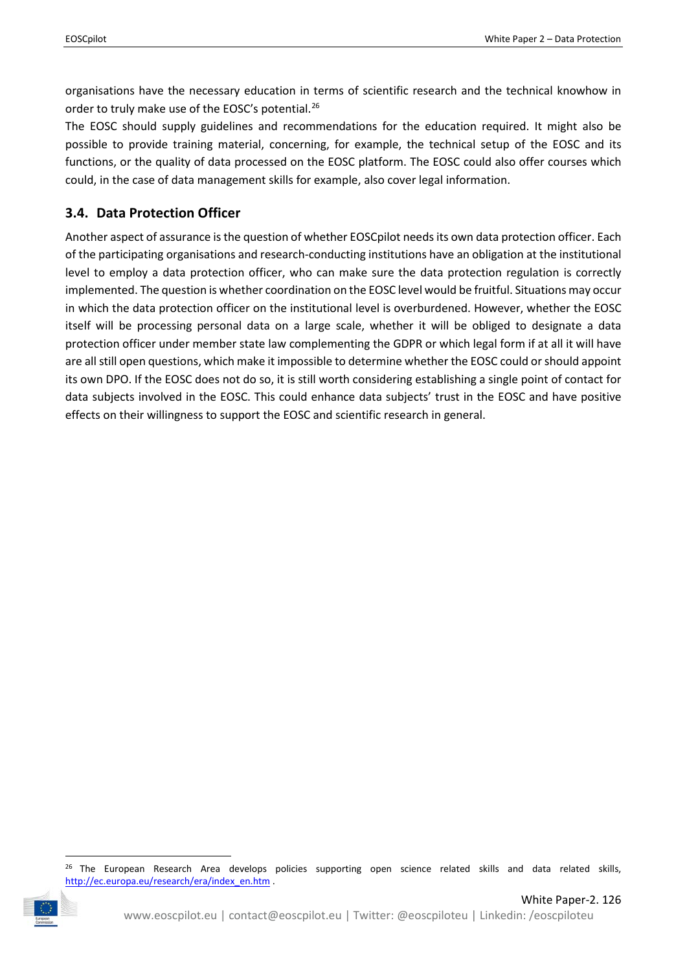organisations have the necessary education in terms of scientific research and the technical knowhow in order to truly make use of the EOSC's potential.<sup>[26](#page-17-1)</sup>

The EOSC should supply guidelines and recommendations for the education required. It might also be possible to provide training material, concerning, for example, the technical setup of the EOSC and its functions, or the quality of data processed on the EOSC platform. The EOSC could also offer courses which could, in the case of data management skills for example, also cover legal information.

## <span id="page-17-0"></span>**3.4. Data Protection Officer**

Another aspect of assurance is the question of whether EOSCpilot needs its own data protection officer. Each of the participating organisations and research-conducting institutions have an obligation at the institutional level to employ a data protection officer, who can make sure the data protection regulation is correctly implemented. The question is whether coordination on the EOSC level would be fruitful. Situations may occur in which the data protection officer on the institutional level is overburdened. However, whether the EOSC itself will be processing personal data on a large scale, whether it will be obliged to designate a data protection officer under member state law complementing the GDPR or which legal form if at all it will have are all still open questions, which make it impossible to determine whether the EOSC could or should appoint its own DPO. If the EOSC does not do so, it is still worth considering establishing a single point of contact for data subjects involved in the EOSC. This could enhance data subjects' trust in the EOSC and have positive effects on their willingness to support the EOSC and scientific research in general.

<span id="page-17-1"></span><sup>&</sup>lt;sup>26</sup> The European Research Area develops policies supporting open science related skills and data related skills, [http://ec.europa.eu/research/era/index\\_en.htm](http://ec.europa.eu/research/era/index_en.htm) .

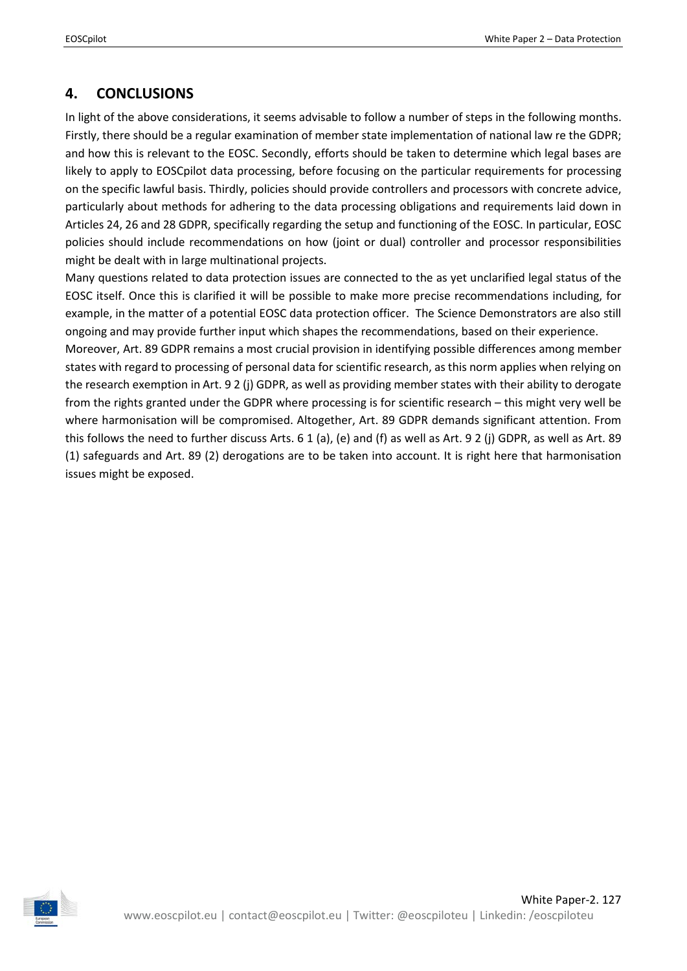# <span id="page-18-0"></span>**4. CONCLUSIONS**

In light of the above considerations, it seems advisable to follow a number of steps in the following months. Firstly, there should be a regular examination of member state implementation of national law re the GDPR; and how this is relevant to the EOSC. Secondly, efforts should be taken to determine which legal bases are likely to apply to EOSCpilot data processing, before focusing on the particular requirements for processing on the specific lawful basis. Thirdly, policies should provide controllers and processors with concrete advice, particularly about methods for adhering to the data processing obligations and requirements laid down in Articles 24, 26 and 28 GDPR, specifically regarding the setup and functioning of the EOSC. In particular, EOSC policies should include recommendations on how (joint or dual) controller and processor responsibilities might be dealt with in large multinational projects.

Many questions related to data protection issues are connected to the as yet unclarified legal status of the EOSC itself. Once this is clarified it will be possible to make more precise recommendations including, for example, in the matter of a potential EOSC data protection officer. The Science Demonstrators are also still ongoing and may provide further input which shapes the recommendations, based on their experience.

Moreover, Art. 89 GDPR remains a most crucial provision in identifying possible differences among member states with regard to processing of personal data for scientific research, as this norm applies when relying on the research exemption in Art. 9 2 (j) GDPR, as well as providing member states with their ability to derogate from the rights granted under the GDPR where processing is for scientific research – this might very well be where harmonisation will be compromised. Altogether, Art. 89 GDPR demands significant attention. From this follows the need to further discuss Arts. 6 1 (a), (e) and (f) as well as Art. 9 2 (j) GDPR, as well as Art. 89 (1) safeguards and Art. 89 (2) derogations are to be taken into account. It is right here that harmonisation issues might be exposed.

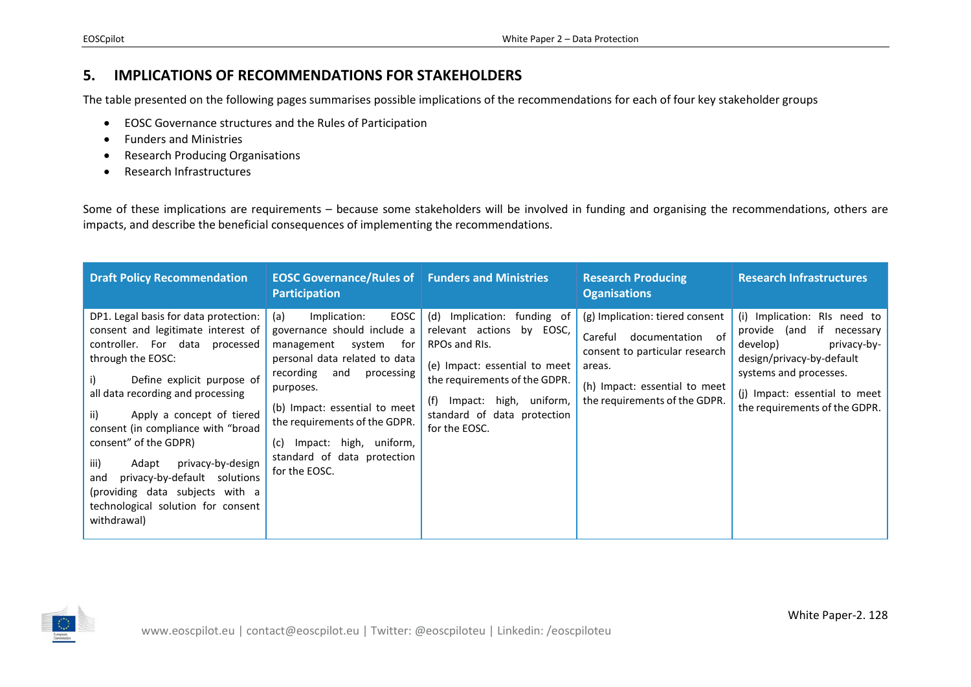### **5. IMPLICATIONS OF RECOMMENDATIONS FOR STAKEHOLDERS**

The table presented on the following pages summarises possible implications of the recommendations for each of four key stakeholder groups

- EOSC Governance structures and the Rules of Participation
- Funders and Ministries
- Research Producing Organisations
- Research Infrastructures

Some of these implications are requirements – because some stakeholders will be involved in funding and organising the recommendations, others are impacts, and describe the beneficial consequences of implementing the recommendations.

<span id="page-19-0"></span>

| <b>Draft Policy Recommendation</b>                                                                                                                                                                                                                                                                                                                                                                                                                                            | <b>EOSC Governance/Rules of Funders and Ministries</b><br><b>Participation</b>                                                                                                                                                                                                                                         |                                                                                                                                                                                                                                 | <b>Research Producing</b><br><b>Oganisations</b>                                                                                                                             | <b>Research Infrastructures</b>                                                                                                                                                                               |
|-------------------------------------------------------------------------------------------------------------------------------------------------------------------------------------------------------------------------------------------------------------------------------------------------------------------------------------------------------------------------------------------------------------------------------------------------------------------------------|------------------------------------------------------------------------------------------------------------------------------------------------------------------------------------------------------------------------------------------------------------------------------------------------------------------------|---------------------------------------------------------------------------------------------------------------------------------------------------------------------------------------------------------------------------------|------------------------------------------------------------------------------------------------------------------------------------------------------------------------------|---------------------------------------------------------------------------------------------------------------------------------------------------------------------------------------------------------------|
| DP1. Legal basis for data protection:<br>consent and legitimate interest of<br>controller. For data processed<br>through the EOSC:<br>Define explicit purpose of<br>all data recording and processing<br>Apply a concept of tiered<br>ii)<br>consent (in compliance with "broad<br>consent" of the GDPR)<br>iii)<br>privacy-by-design<br>Adapt<br>privacy-by-default solutions<br>and<br>(providing data subjects with a<br>technological solution for consent<br>withdrawal) | EOSC<br>Implication:<br>(a)<br>governance should include a<br>management system<br>for<br>personal data related to data<br>recording and<br>processing<br>purposes.<br>(b) Impact: essential to meet<br>the requirements of the GDPR.<br>Impact: high, uniform,<br>(c)<br>standard of data protection<br>for the EOSC. | (d) Implication: funding of<br>by EOSC,<br>relevant actions<br>RPOs and RIs.<br>(e) Impact: essential to meet<br>the requirements of the GDPR.<br>Impact: high, uniform,<br>(t)<br>standard of data protection<br>for the EOSC. | (g) Implication: tiered consent<br>documentation of<br>Careful<br>consent to particular research<br>areas.<br>(h) Impact: essential to meet<br>the requirements of the GDPR. | (i) Implication: RIs need to<br>provide (and if necessary<br>develop)<br>privacy-by-<br>design/privacy-by-default<br>systems and processes.<br>(j) Impact: essential to meet<br>the requirements of the GDPR. |

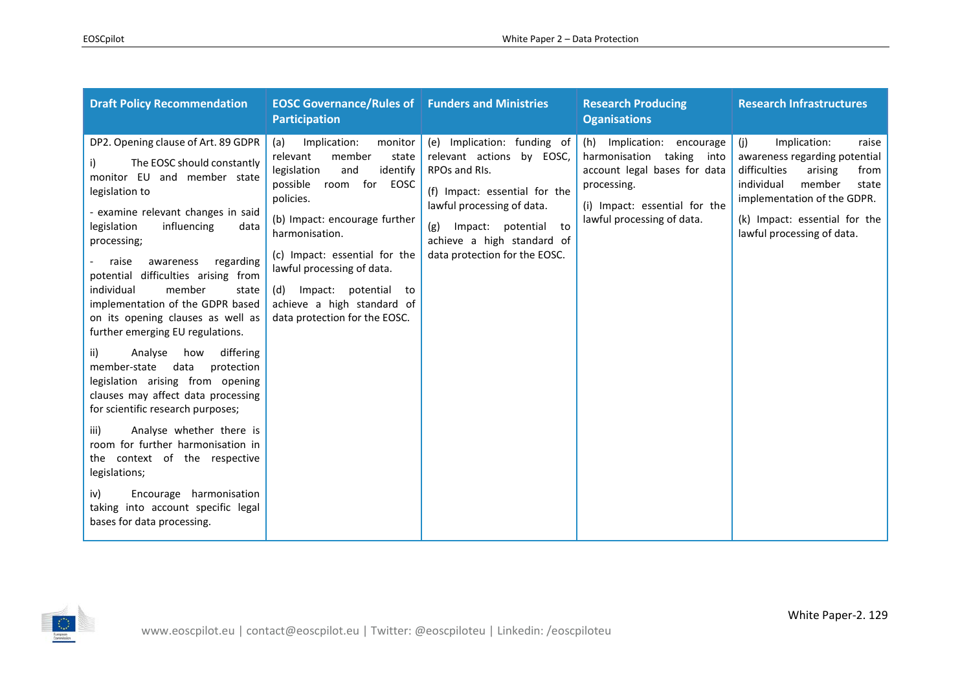| <b>Draft Policy Recommendation</b>                                                                                                                                                                                                                                                                                                                                                                                                                                                                                                                                                                                                                                                                                                                                                                                                                                       | <b>EOSC Governance/Rules of Funders and Ministries</b><br><b>Participation</b>                                                                                                                                                                                                                                                                                  |                                                                                                                                                                                                                                           | <b>Research Producing</b><br><b>Oganisations</b>                                                                                                                      | <b>Research Infrastructures</b>                                                                                                                                                                                                 |
|--------------------------------------------------------------------------------------------------------------------------------------------------------------------------------------------------------------------------------------------------------------------------------------------------------------------------------------------------------------------------------------------------------------------------------------------------------------------------------------------------------------------------------------------------------------------------------------------------------------------------------------------------------------------------------------------------------------------------------------------------------------------------------------------------------------------------------------------------------------------------|-----------------------------------------------------------------------------------------------------------------------------------------------------------------------------------------------------------------------------------------------------------------------------------------------------------------------------------------------------------------|-------------------------------------------------------------------------------------------------------------------------------------------------------------------------------------------------------------------------------------------|-----------------------------------------------------------------------------------------------------------------------------------------------------------------------|---------------------------------------------------------------------------------------------------------------------------------------------------------------------------------------------------------------------------------|
| DP2. Opening clause of Art. 89 GDPR<br>The EOSC should constantly<br>i).<br>monitor EU and member state<br>legislation to<br>- examine relevant changes in said<br>legislation<br>influencing<br>data<br>processing;<br>raise<br>awareness<br>regarding<br>potential difficulties arising from<br>individual<br>member<br>state<br>implementation of the GDPR based<br>on its opening clauses as well as<br>further emerging EU regulations.<br>differing<br>Analyse<br>how<br>ii)<br>data<br>member-state<br>protection<br>legislation arising from opening<br>clauses may affect data processing<br>for scientific research purposes;<br>Analyse whether there is<br>iii)<br>room for further harmonisation in<br>the context of the respective<br>legislations;<br>Encourage harmonisation<br>iv)<br>taking into account specific legal<br>bases for data processing. | monitor<br>(a)<br>Implication:<br>relevant<br>member<br>state<br>legislation<br>and<br>identify<br>possible<br>room for<br>EOSC<br>policies.<br>(b) Impact: encourage further<br>harmonisation.<br>(c) Impact: essential for the<br>lawful processing of data.<br>Impact:<br>potential to<br>(d)<br>achieve a high standard of<br>data protection for the EOSC. | (e) Implication: funding of<br>relevant actions by EOSC,<br>RPOs and RIs.<br>(f) Impact: essential for the<br>lawful processing of data.<br>Impact:<br>potential to<br>(g)<br>achieve a high standard of<br>data protection for the EOSC. | (h) Implication: encourage<br>harmonisation taking into<br>account legal bases for data<br>processing.<br>(i) Impact: essential for the<br>lawful processing of data. | (i)<br>Implication:<br>raise<br>awareness regarding potential<br>difficulties<br>arising<br>from<br>member<br>individual<br>state<br>implementation of the GDPR.<br>(k) Impact: essential for the<br>lawful processing of data. |

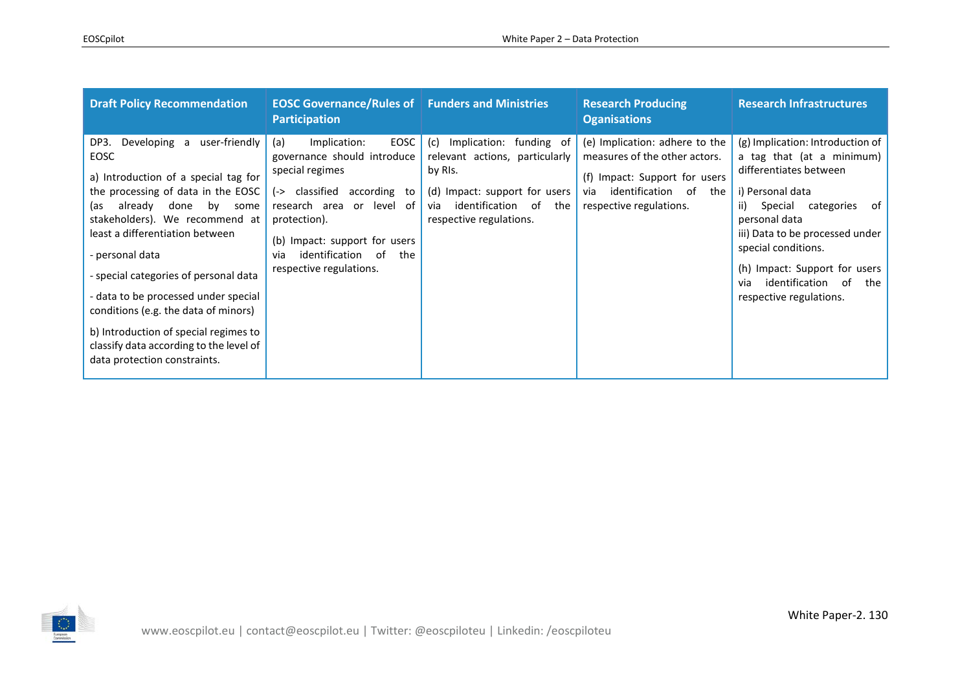| <b>Draft Policy Recommendation</b>                                                                                                                                                                                                                                                                                                                                                                                                                                                                           | <b>EOSC Governance/Rules of Funders and Ministries</b><br><b>Participation</b>                                                                                                                                                                              |                                                                                                                                                                            | <b>Research Producing</b><br><b>Oganisations</b>                                                                                                            | <b>Research Infrastructures</b>                                                                                                                                                                                                                                                                                       |
|--------------------------------------------------------------------------------------------------------------------------------------------------------------------------------------------------------------------------------------------------------------------------------------------------------------------------------------------------------------------------------------------------------------------------------------------------------------------------------------------------------------|-------------------------------------------------------------------------------------------------------------------------------------------------------------------------------------------------------------------------------------------------------------|----------------------------------------------------------------------------------------------------------------------------------------------------------------------------|-------------------------------------------------------------------------------------------------------------------------------------------------------------|-----------------------------------------------------------------------------------------------------------------------------------------------------------------------------------------------------------------------------------------------------------------------------------------------------------------------|
| Developing a user-friendly<br>DP3.<br><b>EOSC</b><br>a) Introduction of a special tag for<br>the processing of data in the EOSC<br>bv<br>done<br>already<br>some<br>(as<br>stakeholders). We recommend at<br>least a differentiation between<br>- personal data<br>- special categories of personal data<br>- data to be processed under special<br>conditions (e.g. the data of minors)<br>b) Introduction of special regimes to<br>classify data according to the level of<br>data protection constraints. | EOSC<br>(a)<br>Implication:<br>governance should introduce<br>special regimes<br>(-> classified<br>according to<br>research area or level of<br>protection).<br>(b) Impact: support for users<br>identification of<br>the<br>via<br>respective regulations. | Implication: funding of<br>(c)<br>relevant actions, particularly<br>by RIs.<br>(d) Impact: support for users<br>identification of<br>the<br>via<br>respective regulations. | (e) Implication: adhere to the<br>measures of the other actors.<br>(f) Impact: Support for users<br>identification of the<br>via<br>respective regulations. | (g) Implication: Introduction of<br>a tag that (at a minimum)<br>differentiates between<br>i) Personal data<br>ii)<br>Special categories of<br>personal data<br>iii) Data to be processed under<br>special conditions.<br>(h) Impact: Support for users<br>identification of<br>the<br>via<br>respective regulations. |

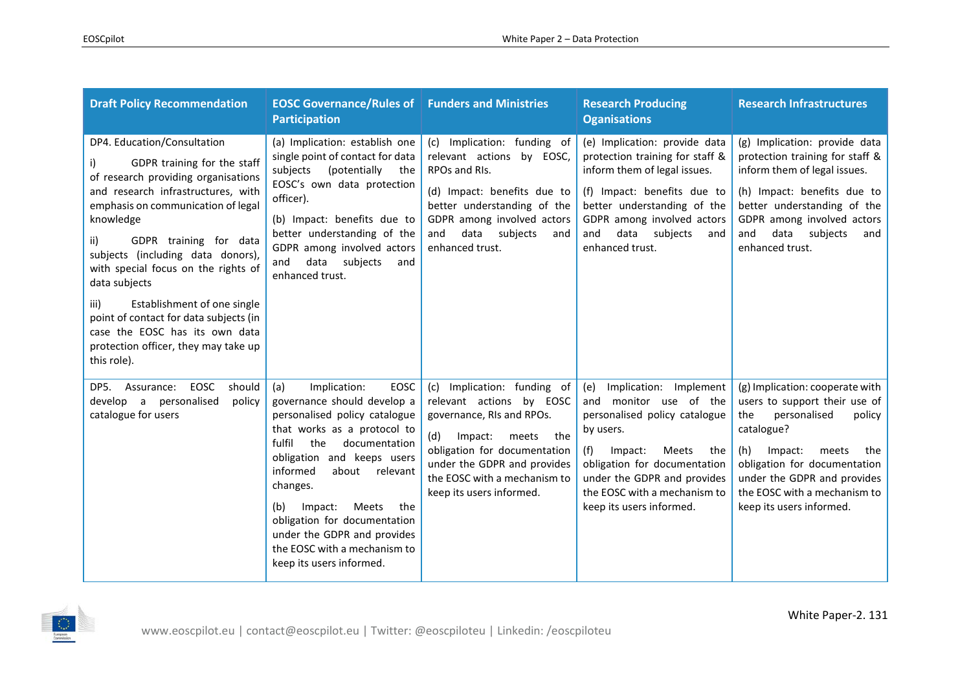| <b>Draft Policy Recommendation</b>                                                                                                                                                                                                                                                                                                                                                                                                                                                                        | <b>EOSC Governance/Rules of Funders and Ministries</b><br><b>Participation</b>                                                                                                                                                                                                                                                                                                                              |                                                                                                                                                                                                                                                   | <b>Research Producing</b><br><b>Oganisations</b>                                                                                                                                                                                                                      | <b>Research Infrastructures</b>                                                                                                                                                                                                                                              |
|-----------------------------------------------------------------------------------------------------------------------------------------------------------------------------------------------------------------------------------------------------------------------------------------------------------------------------------------------------------------------------------------------------------------------------------------------------------------------------------------------------------|-------------------------------------------------------------------------------------------------------------------------------------------------------------------------------------------------------------------------------------------------------------------------------------------------------------------------------------------------------------------------------------------------------------|---------------------------------------------------------------------------------------------------------------------------------------------------------------------------------------------------------------------------------------------------|-----------------------------------------------------------------------------------------------------------------------------------------------------------------------------------------------------------------------------------------------------------------------|------------------------------------------------------------------------------------------------------------------------------------------------------------------------------------------------------------------------------------------------------------------------------|
| DP4. Education/Consultation<br>GDPR training for the staff<br>i).<br>of research providing organisations<br>and research infrastructures, with<br>emphasis on communication of legal<br>knowledge<br>GDPR training for data<br>ii)<br>subjects (including data donors),<br>with special focus on the rights of<br>data subjects<br>Establishment of one single<br>iii)<br>point of contact for data subjects (in<br>case the EOSC has its own data<br>protection officer, they may take up<br>this role). | (a) Implication: establish one<br>single point of contact for data<br>(potentially<br>subjects<br>the<br>EOSC's own data protection<br>officer).<br>(b) Impact: benefits due to<br>better understanding of the<br>GDPR among involved actors<br>data<br>subjects<br>and<br>and<br>enhanced trust.                                                                                                           | (c) Implication: funding of<br>relevant actions by EOSC,<br>RPOs and RIs.<br>(d) Impact: benefits due to<br>better understanding of the<br>GDPR among involved actors<br>data<br>subjects<br>and<br>and<br>enhanced trust.                        | (e) Implication: provide data<br>protection training for staff &<br>inform them of legal issues.<br>(f) Impact: benefits due to<br>better understanding of the<br>GDPR among involved actors<br>data subjects<br>and<br>and<br>enhanced trust.                        | (g) Implication: provide data<br>protection training for staff &<br>inform them of legal issues.<br>(h) Impact: benefits due to<br>better understanding of the<br>GDPR among involved actors<br>and data subjects<br>and<br>enhanced trust.                                  |
| EOSC<br>should<br>DP5.<br>Assurance:<br>develop a personalised<br>policy<br>catalogue for users                                                                                                                                                                                                                                                                                                                                                                                                           | (a)<br>Implication:<br><b>EOSC</b><br>governance should develop a<br>personalised policy catalogue<br>that works as a protocol to<br>fulfil<br>the<br>documentation<br>obligation and keeps users<br>informed<br>about<br>relevant<br>changes.<br>Impact:<br>Meets<br>the<br>(b)<br>obligation for documentation<br>under the GDPR and provides<br>the EOSC with a mechanism to<br>keep its users informed. | (c) Implication: funding of<br>relevant actions by EOSC<br>governance, RIs and RPOs.<br>(d)<br>Impact:<br>the<br>meets<br>obligation for documentation<br>under the GDPR and provides<br>the EOSC with a mechanism to<br>keep its users informed. | Implication: Implement<br>(e)<br>monitor use of the<br>and<br>personalised policy catalogue<br>by users.<br>(f)<br>Impact:<br>Meets<br>the<br>obligation for documentation<br>under the GDPR and provides<br>the EOSC with a mechanism to<br>keep its users informed. | (g) Implication: cooperate with<br>users to support their use of<br>personalised<br>the<br>policy<br>catalogue?<br>(h)<br>Impact:<br>meets<br>the<br>obligation for documentation<br>under the GDPR and provides<br>the EOSC with a mechanism to<br>keep its users informed. |